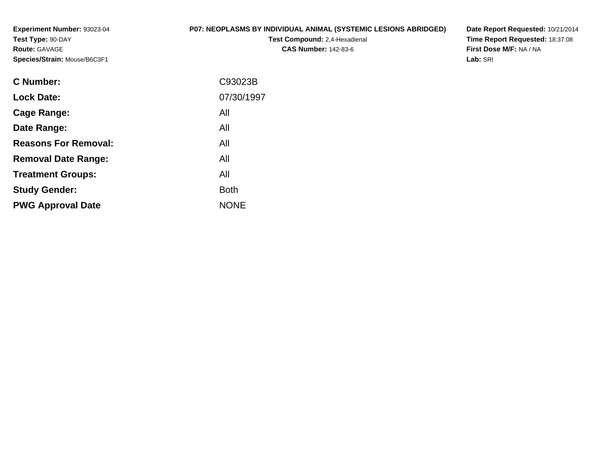**Experiment Number:** 93023-04**Test Type:** 90-DAY**Route:** GAVAGE**Species/Strain:** Mouse/B6C3F1

#### **P07: NEOPLASMS BY INDIVIDUAL ANIMAL (SYSTEMIC LESIONS ABRIDGED)**

**Test Compound:** 2,4-Hexadienal **CAS Number:** 142-83-6

**Date Report Requested:** 10/21/2014 **Time Report Requested:** 18:37:08**First Dose M/F:** NA / NA**Lab:** SRI

| C93023B     |
|-------------|
| 07/30/1997  |
| All         |
| All         |
| All         |
| All         |
| All         |
| <b>Both</b> |
| <b>NONE</b> |
|             |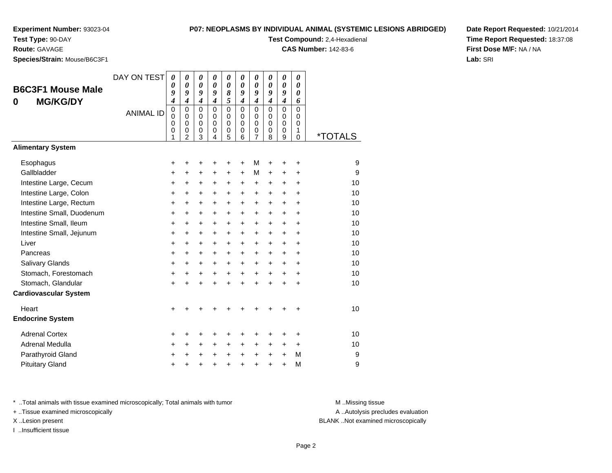#### **Test Type:** 90-DAY

#### **Route:** GAVAGE

**Species/Strain:** Mouse/B6C3F1

#### **P07: NEOPLASMS BY INDIVIDUAL ANIMAL (SYSTEMIC LESIONS ABRIDGED)**

# **Test Compound:** 2,4-Hexadienal

**CAS Number:** 142-83-6

**Date Report Requested:** 10/21/2014**Time Report Requested:** 18:37:08**First Dose M/F:** NA / NA**Lab:** SRI

| <b>B6C3F1 Mouse Male</b><br><b>MG/KG/DY</b><br>0<br><b>Alimentary System</b> | DAY ON TEST<br><b>ANIMAL ID</b> | 0<br>0<br>9<br>$\boldsymbol{4}$<br>$\mathbf 0$<br>0<br>0<br>0<br>1 | $\boldsymbol{\theta}$<br>$\boldsymbol{\theta}$<br>9<br>$\boldsymbol{4}$<br>$\Omega$<br>$\mathbf 0$<br>$\mathbf 0$<br>$\mathbf 0$<br>2 | $\boldsymbol{\theta}$<br>$\boldsymbol{\theta}$<br>$\boldsymbol{g}$<br>$\boldsymbol{4}$<br>$\Omega$<br>0<br>$\pmb{0}$<br>$\mathbf 0$<br>3 | $\boldsymbol{\theta}$<br>$\boldsymbol{\theta}$<br>9<br>$\boldsymbol{4}$<br>$\Omega$<br>$\Omega$<br>$\mathbf 0$<br>$\pmb{0}$<br>4 | 0<br>$\boldsymbol{\theta}$<br>8<br>5<br>$\Omega$<br>0<br>$\mathbf 0$<br>$\pmb{0}$<br>5 | 0<br>$\boldsymbol{\theta}$<br>9<br>$\boldsymbol{4}$<br>$\Omega$<br>$\Omega$<br>$\Omega$<br>$\mathbf 0$<br>6 | 0<br>$\boldsymbol{\theta}$<br>9<br>$\boldsymbol{4}$<br>$\mathbf 0$<br>0<br>$\pmb{0}$<br>$\mathbf 0$<br>$\overline{7}$ | 0<br>$\boldsymbol{\theta}$<br>9<br>$\boldsymbol{4}$<br>$\Omega$<br>$\Omega$<br>$\mathbf 0$<br>$\mathbf 0$<br>8 | 0<br>0<br>9<br>$\boldsymbol{4}$<br>$\Omega$<br>$\mathbf 0$<br>$\mathbf 0$<br>$\mathbf 0$<br>9 | $\pmb{\theta}$<br>$\boldsymbol{\theta}$<br>0<br>6<br>$\Omega$<br>$\Omega$<br>$\mathbf 0$<br>1<br>$\mathbf 0$ | *TOTALS |
|------------------------------------------------------------------------------|---------------------------------|--------------------------------------------------------------------|---------------------------------------------------------------------------------------------------------------------------------------|------------------------------------------------------------------------------------------------------------------------------------------|----------------------------------------------------------------------------------------------------------------------------------|----------------------------------------------------------------------------------------|-------------------------------------------------------------------------------------------------------------|-----------------------------------------------------------------------------------------------------------------------|----------------------------------------------------------------------------------------------------------------|-----------------------------------------------------------------------------------------------|--------------------------------------------------------------------------------------------------------------|---------|
|                                                                              |                                 |                                                                    |                                                                                                                                       |                                                                                                                                          |                                                                                                                                  |                                                                                        |                                                                                                             |                                                                                                                       |                                                                                                                |                                                                                               |                                                                                                              |         |
| Esophagus                                                                    |                                 | +                                                                  | +                                                                                                                                     | $\ddot{}$                                                                                                                                | ٠                                                                                                                                | +                                                                                      | $\ddot{}$                                                                                                   | м                                                                                                                     | $\ddot{}$                                                                                                      | +                                                                                             | $\ddot{}$                                                                                                    | 9       |
| Gallbladder                                                                  |                                 | +                                                                  | +                                                                                                                                     | $\ddot{}$                                                                                                                                | $\ddot{}$                                                                                                                        | $\ddot{}$                                                                              | $\ddot{}$                                                                                                   | M                                                                                                                     | +                                                                                                              | +                                                                                             | +                                                                                                            | 9       |
| Intestine Large, Cecum                                                       |                                 | +                                                                  | +                                                                                                                                     | $\ddot{}$                                                                                                                                | $\ddot{}$                                                                                                                        | $\ddot{}$                                                                              | $\ddot{}$                                                                                                   | $\ddot{}$                                                                                                             | $+$                                                                                                            | $\ddot{}$                                                                                     | $\ddot{}$                                                                                                    | 10      |
| Intestine Large, Colon                                                       |                                 | +                                                                  | +                                                                                                                                     | +                                                                                                                                        | +                                                                                                                                | $\ddot{}$                                                                              | +                                                                                                           | $\ddot{}$                                                                                                             | $\ddot{}$                                                                                                      | $\ddot{}$                                                                                     | $\ddot{}$                                                                                                    | 10      |
| Intestine Large, Rectum                                                      |                                 | +                                                                  | $\ddot{}$                                                                                                                             | $\ddot{}$                                                                                                                                | +                                                                                                                                | $\ddot{}$                                                                              | $\ddot{}$                                                                                                   | $\ddot{}$                                                                                                             | $+$                                                                                                            | $\ddot{}$                                                                                     | $\ddot{}$                                                                                                    | 10      |
| Intestine Small, Duodenum                                                    |                                 | $\ddot{}$                                                          | $\ddot{}$                                                                                                                             | $\ddot{}$                                                                                                                                | $\ddot{}$                                                                                                                        | $\ddot{}$                                                                              | $\ddot{}$                                                                                                   | $\ddot{}$                                                                                                             | $\ddot{}$                                                                                                      | $\ddot{}$                                                                                     | $\ddot{}$                                                                                                    | 10      |
| Intestine Small, Ileum                                                       |                                 | +                                                                  | $\ddot{}$                                                                                                                             | $\ddot{}$                                                                                                                                | $\ddot{}$                                                                                                                        | $\ddot{}$                                                                              | $\ddot{}$                                                                                                   | +                                                                                                                     | $+$                                                                                                            | $\ddot{}$                                                                                     | $\ddot{}$                                                                                                    | 10      |
| Intestine Small, Jejunum                                                     |                                 | $\ddot{}$                                                          | $\ddot{}$                                                                                                                             | $\ddot{}$                                                                                                                                | $\ddot{}$                                                                                                                        | $\ddot{}$                                                                              | $\ddot{}$                                                                                                   | $\ddot{}$                                                                                                             | $\ddot{}$                                                                                                      | $\ddot{}$                                                                                     | $\ddot{}$                                                                                                    | 10      |
| Liver                                                                        |                                 | +                                                                  | $\ddot{}$                                                                                                                             | $\ddot{}$                                                                                                                                | $\ddot{}$                                                                                                                        | $\ddot{}$                                                                              | $\ddot{}$                                                                                                   | $\ddot{}$                                                                                                             | $\ddot{}$                                                                                                      | $\ddot{}$                                                                                     | $\ddot{}$                                                                                                    | 10      |
| Pancreas                                                                     |                                 | $\ddot{}$                                                          | $\ddot{}$                                                                                                                             | $\ddot{}$                                                                                                                                | $\ddot{}$                                                                                                                        | $\ddot{}$                                                                              | $\ddot{}$                                                                                                   | $\ddot{}$                                                                                                             | $\ddot{}$                                                                                                      | $+$                                                                                           | $\ddot{}$                                                                                                    | 10      |
| <b>Salivary Glands</b>                                                       |                                 | +                                                                  | +                                                                                                                                     | $\ddot{}$                                                                                                                                | $\ddot{}$                                                                                                                        | $\ddot{}$                                                                              | $\ddot{}$                                                                                                   | $\ddot{}$                                                                                                             | $+$                                                                                                            | $\ddot{}$                                                                                     | $\ddot{}$                                                                                                    | 10      |
| Stomach, Forestomach                                                         |                                 | +                                                                  | +                                                                                                                                     | $\ddot{}$                                                                                                                                | $+$                                                                                                                              | $+$                                                                                    | $+$                                                                                                         | $+$                                                                                                                   | $+$                                                                                                            | $+$                                                                                           | $\ddot{}$                                                                                                    | 10      |
| Stomach, Glandular                                                           |                                 | +                                                                  |                                                                                                                                       | $\ddot{}$                                                                                                                                | ÷                                                                                                                                | $\ddot{}$                                                                              | $\ddot{}$                                                                                                   | $+$                                                                                                                   | $\ddot{}$                                                                                                      | $\ddot{}$                                                                                     | $\ddot{}$                                                                                                    | 10      |
| <b>Cardiovascular System</b>                                                 |                                 |                                                                    |                                                                                                                                       |                                                                                                                                          |                                                                                                                                  |                                                                                        |                                                                                                             |                                                                                                                       |                                                                                                                |                                                                                               |                                                                                                              |         |
| Heart                                                                        |                                 | +                                                                  |                                                                                                                                       |                                                                                                                                          |                                                                                                                                  |                                                                                        |                                                                                                             |                                                                                                                       |                                                                                                                |                                                                                               | ÷                                                                                                            | 10      |
| <b>Endocrine System</b>                                                      |                                 |                                                                    |                                                                                                                                       |                                                                                                                                          |                                                                                                                                  |                                                                                        |                                                                                                             |                                                                                                                       |                                                                                                                |                                                                                               |                                                                                                              |         |
| <b>Adrenal Cortex</b>                                                        |                                 | +                                                                  | +                                                                                                                                     | +                                                                                                                                        | +                                                                                                                                | +                                                                                      | +                                                                                                           | +                                                                                                                     | ٠                                                                                                              | +                                                                                             | +                                                                                                            | 10      |
| Adrenal Medulla                                                              |                                 | +                                                                  | $\ddot{}$                                                                                                                             | $\ddot{}$                                                                                                                                | $\ddot{}$                                                                                                                        | $\ddot{}$                                                                              | $\ddot{}$                                                                                                   | $\ddot{}$                                                                                                             | $\ddot{}$                                                                                                      | $\ddot{}$                                                                                     | $\ddot{}$                                                                                                    | 10      |
| Parathyroid Gland                                                            |                                 | +                                                                  | +                                                                                                                                     | +                                                                                                                                        | +                                                                                                                                | +                                                                                      | +                                                                                                           | $\ddot{}$                                                                                                             | $\ddot{}$                                                                                                      | $\ddot{}$                                                                                     | M                                                                                                            | 9       |
| <b>Pituitary Gland</b>                                                       |                                 |                                                                    |                                                                                                                                       |                                                                                                                                          |                                                                                                                                  | $\ddot{}$                                                                              |                                                                                                             | +                                                                                                                     | ÷                                                                                                              | $\ddot{}$                                                                                     | M                                                                                                            | 9       |

\* ..Total animals with tissue examined microscopically; Total animals with tumor **M** . Missing tissue M ..Missing tissue

+ ..Tissue examined microscopically

I ..Insufficient tissue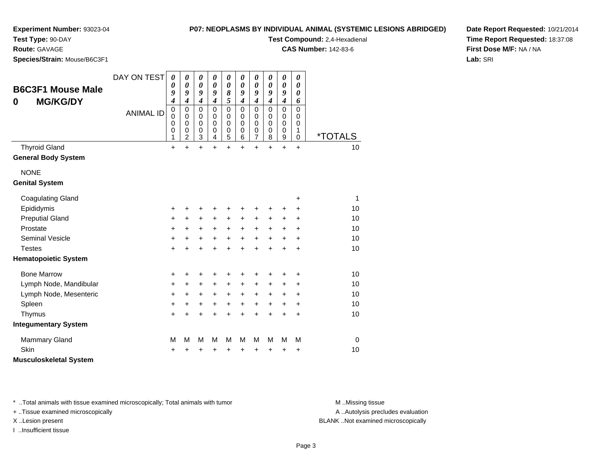#### **P07: NEOPLASMS BY INDIVIDUAL ANIMAL (SYSTEMIC LESIONS ABRIDGED)**

**Test Compound:** 2,4-Hexadienal **CAS Number:** 142-83-6

**Experiment Number:** 93023-04

**Test Type:** 90-DAY

**Route:** GAVAGE

**Species/Strain:** Mouse/B6C3F1

**Date Report Requested:** 10/21/2014**Time Report Requested:** 18:37:08**First Dose M/F:** NA / NA**Lab:** SRI

| 0                     | <b>B6C3F1 Mouse Male</b><br><b>MG/KG/DY</b> | DAY ON TEST<br><b>ANIMAL ID</b> | $\boldsymbol{\theta}$<br>$\boldsymbol{\theta}$<br>9<br>$\boldsymbol{4}$<br>$\mathbf 0$<br>$\mathbf 0$<br>$\mathbf 0$<br>$\mathbf 0$ | $\boldsymbol{\theta}$<br>$\boldsymbol{\theta}$<br>9<br>$\boldsymbol{4}$<br>$\mathbf 0$<br>$\mathbf 0$<br>$\mathbf 0$<br>$\mathbf 0$ | $\pmb{\theta}$<br>$\boldsymbol{\theta}$<br>9<br>$\boldsymbol{4}$<br>$\mathbf 0$<br>0<br>$\mathbf 0$<br>$\mathbf 0$ | $\boldsymbol{\theta}$<br>$\boldsymbol{\theta}$<br>9<br>$\boldsymbol{4}$<br>$\Omega$<br>0<br>$\Omega$<br>0 | $\boldsymbol{\theta}$<br>$\boldsymbol{\theta}$<br>8<br>5<br>$\pmb{0}$<br>$\mathbf 0$<br>$\mathbf 0$<br>$\mathbf 0$ | 0<br>0<br>9<br>$\boldsymbol{4}$<br>$\mathbf 0$<br>0<br>$\mathbf 0$<br>0 | $\pmb{\theta}$<br>0<br>9<br>$\boldsymbol{4}$<br>0<br>0<br>$\mathbf 0$<br>0 | 0<br>$\boldsymbol{\theta}$<br>9<br>$\boldsymbol{4}$<br>$\Omega$<br>0<br>$\mathbf 0$<br>0 | $\boldsymbol{\theta}$<br>$\boldsymbol{\theta}$<br>9<br>$\boldsymbol{4}$<br>$\mathbf 0$<br>0<br>$\mathbf 0$<br>$\mathbf 0$ | $\boldsymbol{\theta}$<br>0<br>0<br>6<br>$\mathbf 0$<br>0<br>$\mathbf 0$<br>1 |                       |
|-----------------------|---------------------------------------------|---------------------------------|-------------------------------------------------------------------------------------------------------------------------------------|-------------------------------------------------------------------------------------------------------------------------------------|--------------------------------------------------------------------------------------------------------------------|-----------------------------------------------------------------------------------------------------------|--------------------------------------------------------------------------------------------------------------------|-------------------------------------------------------------------------|----------------------------------------------------------------------------|------------------------------------------------------------------------------------------|---------------------------------------------------------------------------------------------------------------------------|------------------------------------------------------------------------------|-----------------------|
|                       |                                             |                                 | 1                                                                                                                                   | $\overline{2}$                                                                                                                      | 3                                                                                                                  | 4                                                                                                         | 5                                                                                                                  | 6                                                                       | $\overline{7}$                                                             | 8                                                                                        | 9                                                                                                                         | $\Omega$                                                                     | <i><b>*TOTALS</b></i> |
| <b>Thyroid Gland</b>  |                                             |                                 | $\ddot{}$                                                                                                                           | $\ddot{}$                                                                                                                           | $\ddot{}$                                                                                                          | $\ddot{}$                                                                                                 | $\ddot{}$                                                                                                          | $\ddot{}$                                                               | $\ddot{}$                                                                  | $\ddot{}$                                                                                | $\ddot{}$                                                                                                                 | $\ddot{}$                                                                    | 10                    |
|                       | <b>General Body System</b>                  |                                 |                                                                                                                                     |                                                                                                                                     |                                                                                                                    |                                                                                                           |                                                                                                                    |                                                                         |                                                                            |                                                                                          |                                                                                                                           |                                                                              |                       |
| <b>NONE</b>           |                                             |                                 |                                                                                                                                     |                                                                                                                                     |                                                                                                                    |                                                                                                           |                                                                                                                    |                                                                         |                                                                            |                                                                                          |                                                                                                                           |                                                                              |                       |
| <b>Genital System</b> |                                             |                                 |                                                                                                                                     |                                                                                                                                     |                                                                                                                    |                                                                                                           |                                                                                                                    |                                                                         |                                                                            |                                                                                          |                                                                                                                           |                                                                              |                       |
|                       | <b>Coagulating Gland</b>                    |                                 |                                                                                                                                     |                                                                                                                                     |                                                                                                                    |                                                                                                           |                                                                                                                    |                                                                         |                                                                            |                                                                                          |                                                                                                                           | +                                                                            | 1                     |
| Epididymis            |                                             |                                 | +                                                                                                                                   | +                                                                                                                                   | +                                                                                                                  | +                                                                                                         | +                                                                                                                  | +                                                                       | +                                                                          | +                                                                                        | +                                                                                                                         | ٠                                                                            | 10                    |
|                       | <b>Preputial Gland</b>                      |                                 | $\ddot{}$                                                                                                                           | $\ddot{}$                                                                                                                           | +                                                                                                                  | +                                                                                                         | $\ddot{}$                                                                                                          | +                                                                       | +                                                                          | +                                                                                        | +                                                                                                                         | $\ddot{}$                                                                    | 10                    |
| Prostate              |                                             |                                 | $\ddot{}$                                                                                                                           | $+$                                                                                                                                 | $\ddot{}$                                                                                                          | $\ddot{}$                                                                                                 | $\ddot{}$                                                                                                          | $\ddot{}$                                                               | $\ddot{}$                                                                  | $+$                                                                                      | $\ddot{}$                                                                                                                 | $\ddot{}$                                                                    | 10                    |
|                       | <b>Seminal Vesicle</b>                      |                                 | +                                                                                                                                   | $\ddot{}$                                                                                                                           | $\ddot{}$                                                                                                          | $\ddot{}$                                                                                                 | $\ddot{}$                                                                                                          | $\ddot{}$                                                               | $\ddot{}$                                                                  | $\ddot{}$                                                                                | $\ddot{}$                                                                                                                 | $\ddot{}$                                                                    | 10                    |
| <b>Testes</b>         |                                             |                                 | $\ddot{}$                                                                                                                           | $\ddot{}$                                                                                                                           | $\ddot{}$                                                                                                          | $\ddot{}$                                                                                                 | $\ddot{}$                                                                                                          | $\ddot{}$                                                               | $\ddot{}$                                                                  | $\ddot{}$                                                                                | $\ddot{}$                                                                                                                 | $\ddot{}$                                                                    | 10                    |
|                       | <b>Hematopoietic System</b>                 |                                 |                                                                                                                                     |                                                                                                                                     |                                                                                                                    |                                                                                                           |                                                                                                                    |                                                                         |                                                                            |                                                                                          |                                                                                                                           |                                                                              |                       |
| <b>Bone Marrow</b>    |                                             |                                 | +                                                                                                                                   | +                                                                                                                                   | +                                                                                                                  | +                                                                                                         | +                                                                                                                  |                                                                         | +                                                                          | +                                                                                        | +                                                                                                                         | ٠                                                                            | 10                    |
|                       | Lymph Node, Mandibular                      |                                 | $\ddot{}$                                                                                                                           | $\ddot{}$                                                                                                                           | $\ddot{}$                                                                                                          | $\ddot{}$                                                                                                 | $\ddot{}$                                                                                                          | $\ddot{}$                                                               | $\ddot{}$                                                                  | $\ddot{}$                                                                                | +                                                                                                                         | +                                                                            | 10                    |
|                       | Lymph Node, Mesenteric                      |                                 | $\ddot{}$                                                                                                                           | $\ddot{}$                                                                                                                           | $\ddot{}$                                                                                                          | $\ddot{}$                                                                                                 | $\ddot{}$                                                                                                          | $\ddot{}$                                                               | $\ddot{}$                                                                  | $\ddot{}$                                                                                | +                                                                                                                         | +                                                                            | 10                    |
| Spleen                |                                             |                                 | $\ddot{}$                                                                                                                           | +                                                                                                                                   | +                                                                                                                  | $\ddot{}$                                                                                                 | $+$                                                                                                                | $\ddot{}$                                                               | $\ddot{}$                                                                  | $\ddot{}$                                                                                | $\ddot{}$                                                                                                                 | $\ddot{}$                                                                    | 10                    |
| Thymus                |                                             |                                 | $\ddot{}$                                                                                                                           | ÷                                                                                                                                   | $\ddot{}$                                                                                                          | $\ddot{}$                                                                                                 | $\ddot{}$                                                                                                          | $\ddot{}$                                                               | $\ddot{}$                                                                  | $\ddot{}$                                                                                | $\ddot{}$                                                                                                                 | $\ddot{}$                                                                    | 10                    |
|                       | <b>Integumentary System</b>                 |                                 |                                                                                                                                     |                                                                                                                                     |                                                                                                                    |                                                                                                           |                                                                                                                    |                                                                         |                                                                            |                                                                                          |                                                                                                                           |                                                                              |                       |
|                       | <b>Mammary Gland</b>                        |                                 | M                                                                                                                                   | M                                                                                                                                   | M                                                                                                                  | M                                                                                                         | M                                                                                                                  | M                                                                       | M                                                                          | M                                                                                        | M                                                                                                                         | M                                                                            | $\mathbf 0$           |
| Skin                  |                                             |                                 | +                                                                                                                                   |                                                                                                                                     | +                                                                                                                  | +                                                                                                         | +                                                                                                                  | +                                                                       | +                                                                          | +                                                                                        | +                                                                                                                         | +                                                                            | 10                    |
|                       | <b>Musculoskeletal System</b>               |                                 |                                                                                                                                     |                                                                                                                                     |                                                                                                                    |                                                                                                           |                                                                                                                    |                                                                         |                                                                            |                                                                                          |                                                                                                                           |                                                                              |                       |

\* ..Total animals with tissue examined microscopically; Total animals with tumor **M** . Missing tissue M ..Missing tissue

+ ..Tissue examined microscopically

I ..Insufficient tissue

A ..Autolysis precludes evaluation

X ..Lesion present BLANK ..Not examined microscopically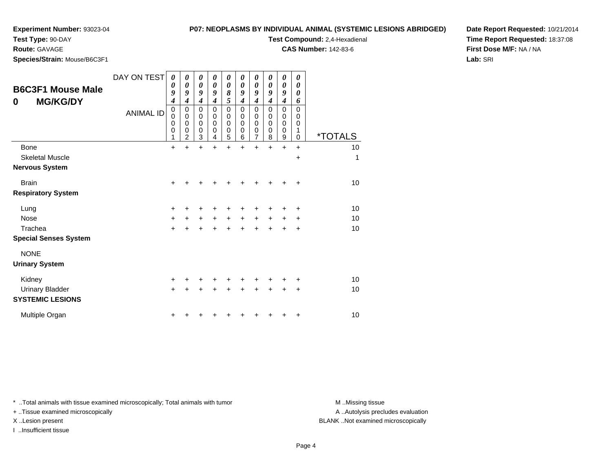### **P07: NEOPLASMS BY INDIVIDUAL ANIMAL (SYSTEMIC LESIC**

**Test Compound:** 2,4-Hexadienal **CAS Number:** 142-83-6

**Test Type:** 90-DAY

**Route:** GAVAGE

**Species/Strain:** Mouse/B6C3F1

| ONS ABRIDGED) | Date Report Requested: 10/21/2014      |
|---------------|----------------------------------------|
|               | <b>Time Report Requested: 18:37:08</b> |
|               | <b>First Dose M/F: NA / NA</b>         |
|               | Lab: SRI                               |

| <b>B6C3F1 Mouse Male</b><br><b>MG/KG/DY</b><br>0 | DAY ON TEST<br><b>ANIMAL ID</b> | $\boldsymbol{\theta}$<br>0<br>9<br>$\boldsymbol{4}$<br>$\pmb{0}$<br>0<br>0<br>0<br>1 | 0<br>$\boldsymbol{\theta}$<br>9<br>4<br>$\mathbf 0$<br>$\mathbf 0$<br>$\mathbf 0$<br>0<br>$\overline{2}$ | 0<br>0<br>9<br>$\boldsymbol{4}$<br>$\mathbf 0$<br>0<br>0<br>0<br>3 | 0<br>0<br>9<br>4<br>0<br>0<br>0<br>0<br>4 | 0<br>$\boldsymbol{\theta}$<br>8<br>5<br>$\mathbf 0$<br>0<br>$\mathbf 0$<br>0<br>5 | 0<br>$\boldsymbol{\theta}$<br>$\boldsymbol{g}$<br>4<br>$\mathbf 0$<br>0<br>$\mathbf 0$<br>0<br>6 | 0<br>0<br>$\boldsymbol{g}$<br>4<br>$\mathbf 0$<br>0<br>$\mathbf 0$<br>0<br>7 | 0<br>$\boldsymbol{\theta}$<br>$\boldsymbol{q}$<br>4<br>$\mathbf 0$<br>$\mathbf 0$<br>$\mathbf 0$<br>0<br>8 | 0<br>0<br>9<br>4<br>$\mathbf 0$<br>0<br>0<br>0<br>9 | 0<br>0<br>0<br>6<br>$\mathbf 0$<br>0<br>0<br>1<br>0 | <i><b>*TOTALS</b></i> |
|--------------------------------------------------|---------------------------------|--------------------------------------------------------------------------------------|----------------------------------------------------------------------------------------------------------|--------------------------------------------------------------------|-------------------------------------------|-----------------------------------------------------------------------------------|--------------------------------------------------------------------------------------------------|------------------------------------------------------------------------------|------------------------------------------------------------------------------------------------------------|-----------------------------------------------------|-----------------------------------------------------|-----------------------|
| Bone                                             |                                 | $\ddot{}$                                                                            | $\ddot{}$                                                                                                | $\ddot{}$                                                          | ÷                                         | ÷                                                                                 | $\ddot{}$                                                                                        | $\ddot{}$                                                                    | ÷                                                                                                          | $\ddot{}$                                           | $\ddot{}$                                           | 10                    |
| <b>Skeletal Muscle</b>                           |                                 |                                                                                      |                                                                                                          |                                                                    |                                           |                                                                                   |                                                                                                  |                                                                              |                                                                                                            |                                                     | +                                                   | 1                     |
| <b>Nervous System</b>                            |                                 |                                                                                      |                                                                                                          |                                                                    |                                           |                                                                                   |                                                                                                  |                                                                              |                                                                                                            |                                                     |                                                     |                       |
| <b>Brain</b>                                     |                                 | $\pm$                                                                                |                                                                                                          |                                                                    |                                           |                                                                                   |                                                                                                  |                                                                              |                                                                                                            | ┿                                                   | $\ddot{}$                                           | 10                    |
| <b>Respiratory System</b>                        |                                 |                                                                                      |                                                                                                          |                                                                    |                                           |                                                                                   |                                                                                                  |                                                                              |                                                                                                            |                                                     |                                                     |                       |
| Lung                                             |                                 | +                                                                                    |                                                                                                          |                                                                    |                                           |                                                                                   |                                                                                                  |                                                                              |                                                                                                            | +                                                   | +                                                   | 10                    |
| Nose                                             |                                 | $\ddot{}$                                                                            | +                                                                                                        | $\ddot{}$                                                          | $+$                                       | $\ddot{}$                                                                         | $+$                                                                                              | $+$                                                                          | $\ddot{}$                                                                                                  | $\ddot{}$                                           | $\ddot{}$                                           | 10                    |
| Trachea                                          |                                 | $\ddot{}$                                                                            |                                                                                                          | Ŧ.                                                                 |                                           | $\ddot{}$                                                                         | $\ddot{}$                                                                                        | $\ddot{}$                                                                    | $\ddot{}$                                                                                                  | $\ddot{}$                                           | +                                                   | 10                    |
| <b>Special Senses System</b>                     |                                 |                                                                                      |                                                                                                          |                                                                    |                                           |                                                                                   |                                                                                                  |                                                                              |                                                                                                            |                                                     |                                                     |                       |
| <b>NONE</b>                                      |                                 |                                                                                      |                                                                                                          |                                                                    |                                           |                                                                                   |                                                                                                  |                                                                              |                                                                                                            |                                                     |                                                     |                       |
| <b>Urinary System</b>                            |                                 |                                                                                      |                                                                                                          |                                                                    |                                           |                                                                                   |                                                                                                  |                                                                              |                                                                                                            |                                                     |                                                     |                       |
| Kidney                                           |                                 | +                                                                                    |                                                                                                          |                                                                    |                                           | +                                                                                 |                                                                                                  |                                                                              |                                                                                                            | +                                                   | +                                                   | 10                    |
| <b>Urinary Bladder</b>                           |                                 | $+$                                                                                  |                                                                                                          | $\ddot{}$                                                          | +                                         | +                                                                                 | $\ddot{}$                                                                                        | $\pm$                                                                        | $\ddot{}$                                                                                                  | +                                                   | $\ddot{}$                                           | 10                    |
| <b>SYSTEMIC LESIONS</b>                          |                                 |                                                                                      |                                                                                                          |                                                                    |                                           |                                                                                   |                                                                                                  |                                                                              |                                                                                                            |                                                     |                                                     |                       |
| Multiple Organ                                   |                                 | +                                                                                    |                                                                                                          |                                                                    |                                           |                                                                                   |                                                                                                  |                                                                              |                                                                                                            | ٠                                                   | +                                                   | 10                    |

\* ..Total animals with tissue examined microscopically; Total animals with tumor **M** . Missing tissue M ..Missing tissue

+ ..Tissue examined microscopically

I ..Insufficient tissue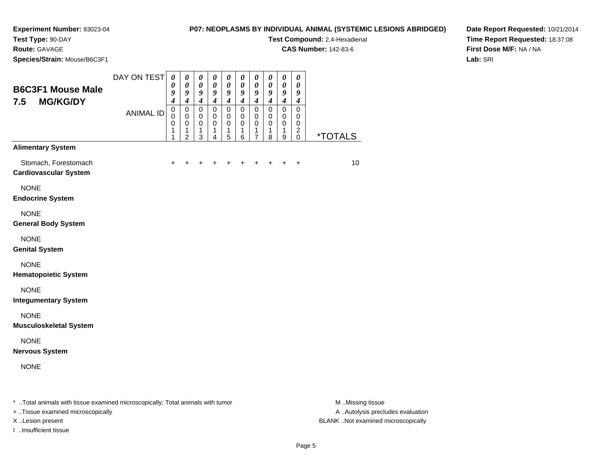#### **P07: NEOPLASMS BY INDIVIDUAL ANIMAL (SYSTEMIC LESIONS ABRIDGED)**

**Test Compound:** 2,4-Hexadienal

**CAS Number:** 142-83-6

**Date Report Requested:** 10/21/2014**Time Report Requested:** 18:37:08**First Dose M/F:** NA / NA**Lab:** SRI

**Test Type:** 90-DAY**Route:** GAVAGE**Species/Strain:** Mouse/B6C3F1

| <b>B6C3F1 Mouse Male</b><br>7.5<br><b>MG/KG/DY</b>   | DAY ON TEST<br><b>ANIMAL ID</b> | $\boldsymbol{\theta}$<br>0<br>9<br>$\boldsymbol{4}$<br>$\pmb{0}$<br>$\Omega$<br>0<br>1<br>1 | $\boldsymbol{\theta}$<br>$\boldsymbol{\theta}$<br>9<br>$\boldsymbol{4}$<br>$\pmb{0}$<br>$\mathbf 0$<br>$\pmb{0}$<br>1<br>$\overline{2}$ | 0<br>$\pmb{\theta}$<br>9<br>$\boldsymbol{4}$<br>$\mathbf 0$<br>$\mathbf 0$<br>$\mathbf 0$<br>$\mathbf{1}$<br>3 | $\boldsymbol{\theta}$<br>$\pmb{\theta}$<br>$\boldsymbol{g}$<br>$\boldsymbol{4}$<br>$\mathsf 0$<br>$\mathbf 0$<br>$\mathbf 0$<br>$\mathbf{1}$<br>$\overline{4}$ | 0<br>$\pmb{\theta}$<br>$\boldsymbol{g}$<br>$\boldsymbol{4}$<br>$\mathbf 0$<br>$\mathbf 0$<br>$\pmb{0}$<br>1<br>5 | 0<br>$\pmb{\theta}$<br>9<br>$\boldsymbol{4}$<br>$\mathbf 0$<br>0<br>$\pmb{0}$<br>1<br>6 | 0<br>$\pmb{\theta}$<br>9<br>$\boldsymbol{4}$<br>$\mathbf 0$<br>$\mathbf 0$<br>$\mathbf 0$<br>1<br>$\overline{7}$ | 0<br>$\boldsymbol{\theta}$<br>9<br>$\boldsymbol{4}$<br>$\mathbf 0$<br>0<br>$\mathbf 0$<br>1<br>8 | $\boldsymbol{\theta}$<br>$\pmb{\theta}$<br>9<br>$\boldsymbol{4}$<br>$\mathbf 0$<br>$\mathbf 0$<br>$\mathbf 0$<br>1<br>9 | 0<br>$\boldsymbol{\theta}$<br>9<br>$\boldsymbol{4}$<br>$\Omega$<br>0<br>$\mathbf 0$<br>$\overline{\mathbf{c}}$<br>$\mathbf 0$ | <i><b>*TOTALS</b></i> |
|------------------------------------------------------|---------------------------------|---------------------------------------------------------------------------------------------|-----------------------------------------------------------------------------------------------------------------------------------------|----------------------------------------------------------------------------------------------------------------|----------------------------------------------------------------------------------------------------------------------------------------------------------------|------------------------------------------------------------------------------------------------------------------|-----------------------------------------------------------------------------------------|------------------------------------------------------------------------------------------------------------------|--------------------------------------------------------------------------------------------------|-------------------------------------------------------------------------------------------------------------------------|-------------------------------------------------------------------------------------------------------------------------------|-----------------------|
| <b>Alimentary System</b>                             |                                 |                                                                                             |                                                                                                                                         |                                                                                                                |                                                                                                                                                                |                                                                                                                  |                                                                                         |                                                                                                                  |                                                                                                  |                                                                                                                         |                                                                                                                               |                       |
| Stomach, Forestomach<br><b>Cardiovascular System</b> |                                 | $\pm$                                                                                       | $\ddot{}$                                                                                                                               | +                                                                                                              | +                                                                                                                                                              | $\ddot{}$                                                                                                        | +                                                                                       | $\ddot{}$                                                                                                        | $\ddot{}$                                                                                        | $\ddot{}$                                                                                                               | $\ddot{}$                                                                                                                     | 10                    |
| <b>NONE</b><br><b>Endocrine System</b>               |                                 |                                                                                             |                                                                                                                                         |                                                                                                                |                                                                                                                                                                |                                                                                                                  |                                                                                         |                                                                                                                  |                                                                                                  |                                                                                                                         |                                                                                                                               |                       |
| <b>NONE</b><br><b>General Body System</b>            |                                 |                                                                                             |                                                                                                                                         |                                                                                                                |                                                                                                                                                                |                                                                                                                  |                                                                                         |                                                                                                                  |                                                                                                  |                                                                                                                         |                                                                                                                               |                       |
| <b>NONE</b><br><b>Genital System</b>                 |                                 |                                                                                             |                                                                                                                                         |                                                                                                                |                                                                                                                                                                |                                                                                                                  |                                                                                         |                                                                                                                  |                                                                                                  |                                                                                                                         |                                                                                                                               |                       |
| <b>NONE</b><br><b>Hematopoietic System</b>           |                                 |                                                                                             |                                                                                                                                         |                                                                                                                |                                                                                                                                                                |                                                                                                                  |                                                                                         |                                                                                                                  |                                                                                                  |                                                                                                                         |                                                                                                                               |                       |
| <b>NONE</b><br><b>Integumentary System</b>           |                                 |                                                                                             |                                                                                                                                         |                                                                                                                |                                                                                                                                                                |                                                                                                                  |                                                                                         |                                                                                                                  |                                                                                                  |                                                                                                                         |                                                                                                                               |                       |
| <b>NONE</b><br><b>Musculoskeletal System</b>         |                                 |                                                                                             |                                                                                                                                         |                                                                                                                |                                                                                                                                                                |                                                                                                                  |                                                                                         |                                                                                                                  |                                                                                                  |                                                                                                                         |                                                                                                                               |                       |
| <b>NONE</b><br><b>Nervous System</b>                 |                                 |                                                                                             |                                                                                                                                         |                                                                                                                |                                                                                                                                                                |                                                                                                                  |                                                                                         |                                                                                                                  |                                                                                                  |                                                                                                                         |                                                                                                                               |                       |
| <b>NONE</b>                                          |                                 |                                                                                             |                                                                                                                                         |                                                                                                                |                                                                                                                                                                |                                                                                                                  |                                                                                         |                                                                                                                  |                                                                                                  |                                                                                                                         |                                                                                                                               |                       |
|                                                      |                                 |                                                                                             |                                                                                                                                         |                                                                                                                |                                                                                                                                                                |                                                                                                                  |                                                                                         |                                                                                                                  |                                                                                                  |                                                                                                                         |                                                                                                                               |                       |

\* ..Total animals with tissue examined microscopically; Total animals with tumor **M** . Missing tissue M ..Missing tissue

+ ..Tissue examined microscopically

I ..Insufficient tissue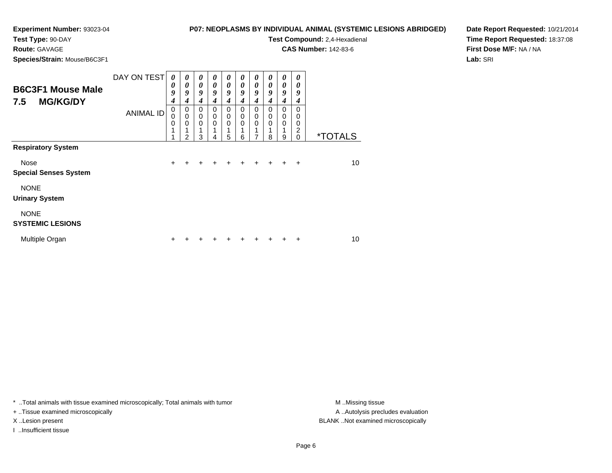### **P07: NEOPLASMS BY INDIVIDUAL ANIMAL (SYSTEMIC LESIONS ABRIDGED)**

**CAS Number:** 142-83-6

**Test Type:** 90-DAY

**Route:** GAVAGE

**Species/Strain:** Mouse/B6C3F1

**Test Compound:** 2,4-Hexadienal **Date Report Requested:** 10/21/2014**Time Report Requested:** 18:37:08**First Dose M/F:** NA / NA**Lab:** SRI

| <b>B6C3F1 Mouse Male</b><br><b>MG/KG/DY</b><br>7.5 | DAY ON TEST      | 0<br>0<br>9<br>$\boldsymbol{4}$      | 0<br>0<br>9<br>4           | 0<br>0<br>9<br>4           | 0<br>0<br>9<br>4 | 0<br>0<br>9<br>4                          | 0<br>0<br>9<br>4 | 0<br>0<br>9<br>$\boldsymbol{4}$ | 0<br>0<br>9<br>4 | 0<br>0<br>9<br>4 | 0<br>0<br>9<br>4      |                       |
|----------------------------------------------------|------------------|--------------------------------------|----------------------------|----------------------------|------------------|-------------------------------------------|------------------|---------------------------------|------------------|------------------|-----------------------|-----------------------|
|                                                    | <b>ANIMAL ID</b> | $\mathbf 0$<br>0<br>$\mathbf 0$<br>1 | 0<br>$\mathbf 0$<br>0<br>っ | 0<br>$\mathbf 0$<br>0<br>3 | 0<br>0<br>0      | 0<br>$\mathbf 0$<br>$\mathbf 0$<br>1<br>5 | 0<br>0<br>0<br>6 | 0<br>$\boldsymbol{0}$<br>0<br>7 | 0<br>0<br>0<br>8 | 0<br>0<br>0<br>9 | 0<br>0<br>0<br>2<br>0 | <i><b>*TOTALS</b></i> |
| <b>Respiratory System</b>                          |                  |                                      |                            |                            |                  |                                           |                  |                                 |                  |                  |                       |                       |
| Nose                                               |                  | $\ddot{}$                            |                            |                            |                  |                                           |                  |                                 |                  |                  | $\div$                | 10                    |
| <b>Special Senses System</b><br><b>NONE</b>        |                  |                                      |                            |                            |                  |                                           |                  |                                 |                  |                  |                       |                       |
| <b>Urinary System</b>                              |                  |                                      |                            |                            |                  |                                           |                  |                                 |                  |                  |                       |                       |
| <b>NONE</b><br><b>SYSTEMIC LESIONS</b>             |                  |                                      |                            |                            |                  |                                           |                  |                                 |                  |                  |                       |                       |
| Multiple Organ                                     |                  |                                      |                            |                            |                  |                                           |                  |                                 |                  |                  |                       | 10                    |

\* ..Total animals with tissue examined microscopically; Total animals with tumor **M** . Missing tissue M ..Missing tissue

+ ..Tissue examined microscopically

I ..Insufficient tissue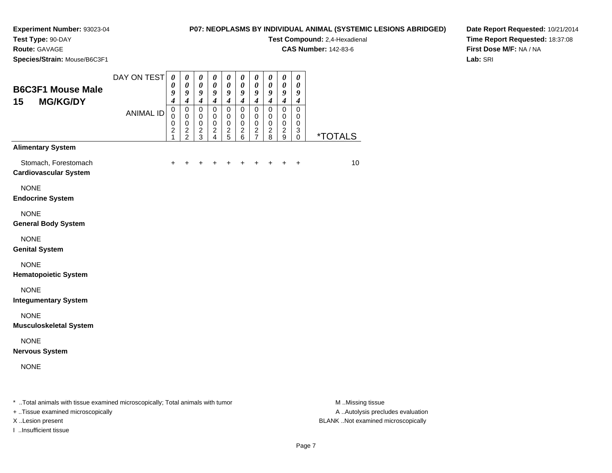# **Test Type:** 90-DAY

**Route:** GAVAGE

**Species/Strain:** Mouse/B6C3F1

#### **P07: NEOPLASMS BY INDIVIDUAL ANIMAL (SYSTEMIC LESIONS ABRIDGED)**

**Test Compound:** 2,4-Hexadienal

**CAS Number:** 142-83-6

**Date Report Requested:** 10/21/2014**Time Report Requested:** 18:37:08**First Dose M/F:** NA / NA**Lab:** SRI

| <b>B6C3F1 Mouse Male</b><br>15<br><b>MG/KG/DY</b>    | DAY ON TEST      | $\boldsymbol{\theta}$<br>0<br>9<br>$\boldsymbol{4}$            | 0<br>$\pmb{\theta}$<br>9<br>$\boldsymbol{4}$         | 0<br>$\boldsymbol{\theta}$<br>9<br>$\boldsymbol{4}$              | 0<br>$\pmb{\theta}$<br>9<br>$\boldsymbol{4}$               | 0<br>$\boldsymbol{\theta}$<br>9<br>$\boldsymbol{4}$           | $\boldsymbol{\theta}$<br>$\boldsymbol{\theta}$<br>9<br>$\boldsymbol{4}$ | $\boldsymbol{\theta}$<br>$\boldsymbol{\theta}$<br>9<br>$\boldsymbol{4}$       | $\boldsymbol{\theta}$<br>$\boldsymbol{\theta}$<br>9<br>$\boldsymbol{4}$ | $\boldsymbol{\theta}$<br>$\boldsymbol{\theta}$<br>$\boldsymbol{9}$<br>$\boldsymbol{4}$ | $\boldsymbol{\theta}$<br>$\boldsymbol{\theta}$<br>9<br>$\boldsymbol{4}$ |                       |
|------------------------------------------------------|------------------|----------------------------------------------------------------|------------------------------------------------------|------------------------------------------------------------------|------------------------------------------------------------|---------------------------------------------------------------|-------------------------------------------------------------------------|-------------------------------------------------------------------------------|-------------------------------------------------------------------------|----------------------------------------------------------------------------------------|-------------------------------------------------------------------------|-----------------------|
|                                                      | <b>ANIMAL ID</b> | $\mathbf 0$<br>$\mathbf 0$<br>$\,0\,$<br>$\boldsymbol{2}$<br>1 | $\mathbf 0$<br>$\pmb{0}$<br>$\,0\,$<br>$\frac{2}{2}$ | $\mathbf 0$<br>$\mathbf 0$<br>$\mathbf 0$<br>$\overline{c}$<br>3 | $\mathbf 0$<br>$\mathbf 0$<br>$\mathbf 0$<br>$\frac{2}{4}$ | $\Omega$<br>$\mathbf 0$<br>$\mathbf 0$<br>$\overline{c}$<br>5 | $\mathbf 0$<br>$\mathbf 0$<br>$\mathbf 0$<br>$\boldsymbol{2}$<br>6      | $\mathbf 0$<br>$\mathbf 0$<br>$\mathbf 0$<br>$\overline{c}$<br>$\overline{7}$ | $\mathsf 0$<br>$\mathbf 0$<br>$\pmb{0}$<br>$\overline{c}$<br>8          | $\mathbf 0$<br>$\mathbf 0$<br>0<br>$\overline{2}$<br>9                                 | $\mathbf 0$<br>$\mathbf 0$<br>0<br>$\sqrt{3}$<br>0                      | <i><b>*TOTALS</b></i> |
| <b>Alimentary System</b>                             |                  |                                                                |                                                      |                                                                  |                                                            |                                                               |                                                                         |                                                                               |                                                                         |                                                                                        |                                                                         |                       |
| Stomach, Forestomach<br><b>Cardiovascular System</b> |                  | +                                                              |                                                      |                                                                  |                                                            |                                                               |                                                                         |                                                                               |                                                                         | +                                                                                      | $\ddot{}$                                                               | 10                    |
| <b>NONE</b><br><b>Endocrine System</b>               |                  |                                                                |                                                      |                                                                  |                                                            |                                                               |                                                                         |                                                                               |                                                                         |                                                                                        |                                                                         |                       |
| <b>NONE</b><br><b>General Body System</b>            |                  |                                                                |                                                      |                                                                  |                                                            |                                                               |                                                                         |                                                                               |                                                                         |                                                                                        |                                                                         |                       |
| <b>NONE</b><br><b>Genital System</b>                 |                  |                                                                |                                                      |                                                                  |                                                            |                                                               |                                                                         |                                                                               |                                                                         |                                                                                        |                                                                         |                       |
| <b>NONE</b><br><b>Hematopoietic System</b>           |                  |                                                                |                                                      |                                                                  |                                                            |                                                               |                                                                         |                                                                               |                                                                         |                                                                                        |                                                                         |                       |
| <b>NONE</b><br><b>Integumentary System</b>           |                  |                                                                |                                                      |                                                                  |                                                            |                                                               |                                                                         |                                                                               |                                                                         |                                                                                        |                                                                         |                       |
| <b>NONE</b><br><b>Musculoskeletal System</b>         |                  |                                                                |                                                      |                                                                  |                                                            |                                                               |                                                                         |                                                                               |                                                                         |                                                                                        |                                                                         |                       |
| <b>NONE</b><br><b>Nervous System</b>                 |                  |                                                                |                                                      |                                                                  |                                                            |                                                               |                                                                         |                                                                               |                                                                         |                                                                                        |                                                                         |                       |
| <b>NONE</b>                                          |                  |                                                                |                                                      |                                                                  |                                                            |                                                               |                                                                         |                                                                               |                                                                         |                                                                                        |                                                                         |                       |
|                                                      |                  |                                                                |                                                      |                                                                  |                                                            |                                                               |                                                                         |                                                                               |                                                                         |                                                                                        |                                                                         |                       |

\* ..Total animals with tissue examined microscopically; Total animals with tumor **M** . Missing tissue M ..Missing tissue

+ ..Tissue examined microscopically

I ..Insufficient tissue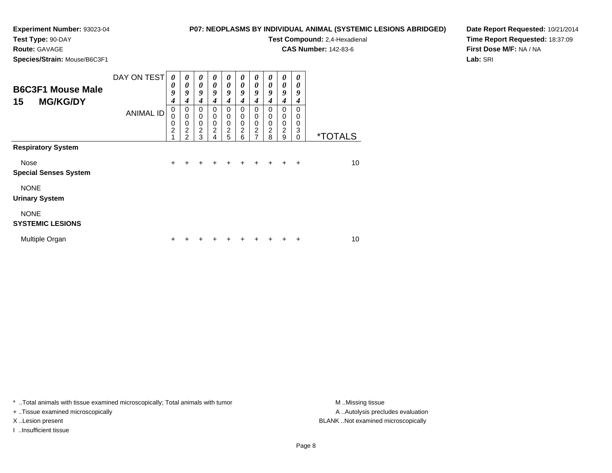## **P07: NEOPLASMS BY INDIVIDUAL ANIMAL (SYSTEMIC LESIONS ABRIDGED)**

**Test Type:** 90-DAY**Route:** GAVAGE

**Species/Strain:** Mouse/B6C3F1

**Test Compound:** 2,4-Hexadienal

**CAS Number:** 142-83-6

**Date Report Requested:** 10/21/2014**Time Report Requested:** 18:37:09**First Dose M/F:** NA / NA**Lab:** SRI

| <b>B6C3F1 Mouse Male</b><br><b>MG/KG/DY</b><br>15 | DAY ON TEST<br><b>ANIMAL ID</b> | 0<br>0<br>9<br>4<br>0<br>0<br>0<br>$\overline{c}$ | 0<br>0<br>9<br>4<br>0<br>$\mathbf 0$<br>0<br>$\overline{c}$ | 0<br>$\boldsymbol{\theta}$<br>9<br>4<br>$\mathbf 0$<br>$\mathbf 0$<br>$\mathbf 0$<br>$\overline{c}$ | 0<br>$\theta$<br>9<br>4<br>0<br>0<br>0<br>$\overline{c}$ | 0<br>$\boldsymbol{\theta}$<br>9<br>4<br>$\mathbf 0$<br>$\mathbf 0$<br>$\mathbf 0$ | 0<br>$\theta$<br>9<br>4<br>$\Omega$<br>0<br>0<br>$\overline{2}$ | 0<br>$\boldsymbol{\theta}$<br>9<br>4<br>$\Omega$<br>0<br>$\mathbf 0$<br>$\overline{c}$ | 0<br>0<br>9<br>4<br>0<br>0<br>0<br>$\overline{2}$ | 0<br>0<br>9<br>4<br>0<br>0<br>$\mathbf 0$<br>$\overline{c}$ | 0<br>0<br>9<br>4<br>$\Omega$<br>0<br>0<br>3 |                       |
|---------------------------------------------------|---------------------------------|---------------------------------------------------|-------------------------------------------------------------|-----------------------------------------------------------------------------------------------------|----------------------------------------------------------|-----------------------------------------------------------------------------------|-----------------------------------------------------------------|----------------------------------------------------------------------------------------|---------------------------------------------------|-------------------------------------------------------------|---------------------------------------------|-----------------------|
|                                                   |                                 |                                                   | $\mathfrak{p}$                                              | 3                                                                                                   | 4                                                        | $\frac{2}{5}$                                                                     | 6                                                               | $\overline{7}$                                                                         | 8                                                 | 9                                                           | $\Omega$                                    | <i><b>*TOTALS</b></i> |
| <b>Respiratory System</b>                         |                                 |                                                   |                                                             |                                                                                                     |                                                          |                                                                                   |                                                                 |                                                                                        |                                                   |                                                             |                                             |                       |
| Nose                                              |                                 | $\ddot{}$                                         | $\div$                                                      | $\div$                                                                                              | $\div$                                                   | ÷                                                                                 | $\div$                                                          | $\pm$                                                                                  | $+$                                               | ÷.                                                          | $\overline{+}$                              | 10                    |
| <b>Special Senses System</b>                      |                                 |                                                   |                                                             |                                                                                                     |                                                          |                                                                                   |                                                                 |                                                                                        |                                                   |                                                             |                                             |                       |
| <b>NONE</b><br><b>Urinary System</b>              |                                 |                                                   |                                                             |                                                                                                     |                                                          |                                                                                   |                                                                 |                                                                                        |                                                   |                                                             |                                             |                       |
| <b>NONE</b><br><b>SYSTEMIC LESIONS</b>            |                                 |                                                   |                                                             |                                                                                                     |                                                          |                                                                                   |                                                                 |                                                                                        |                                                   |                                                             |                                             |                       |
| Multiple Organ                                    |                                 | +                                                 |                                                             |                                                                                                     |                                                          |                                                                                   |                                                                 |                                                                                        |                                                   |                                                             | +                                           | 10                    |

\* ..Total animals with tissue examined microscopically; Total animals with tumor **M** . Missing tissue M ..Missing tissue

+ ..Tissue examined microscopically

I ..Insufficient tissue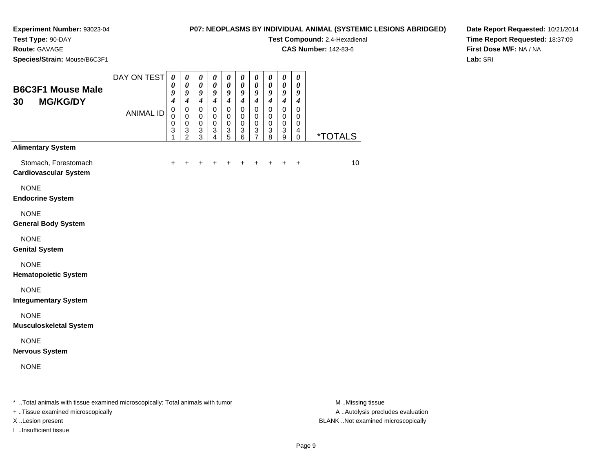### **P07: NEOPLASMS BY INDIVIDUAL ANIMAL (SYSTEMIC LESIONS ABRIDGED)**

**Test Compound:** 2,4-Hexadienal

**CAS Number:** 142-83-6

**Date Report Requested:** 10/21/2014**Time Report Requested:** 18:37:09**First Dose M/F:** NA / NA**Lab:** SRI

**Test Type:** 90-DAY**Route:** GAVAGE**Species/Strain:** Mouse/B6C3F1

| <b>B6C3F1 Mouse Male</b><br><b>MG/KG/DY</b><br>30                                | DAY ON TEST<br><b>ANIMAL ID</b> | $\boldsymbol{\theta}$<br>$\boldsymbol{\theta}$<br>9<br>$\overline{\boldsymbol{4}}$<br>$\pmb{0}$<br>$\mathbf 0$<br>$\pmb{0}$<br>3<br>1 | $\boldsymbol{\theta}$<br>$\pmb{\theta}$<br>9<br>$\boldsymbol{4}$<br>$\pmb{0}$<br>$\mathbf 0$<br>$\pmb{0}$<br>$\ensuremath{\mathsf{3}}$<br>$\overline{2}$ | 0<br>$\pmb{\theta}$<br>9<br>$\boldsymbol{4}$<br>$\pmb{0}$<br>$\mathbf 0$<br>$\pmb{0}$<br>$\mathbf{3}$<br>3 | $\pmb{\theta}$<br>$\pmb{\theta}$<br>9<br>$\boldsymbol{4}$<br>$\pmb{0}$<br>$\pmb{0}$<br>$\pmb{0}$<br>3<br>$\overline{4}$ | $\boldsymbol{\theta}$<br>$\pmb{\theta}$<br>9<br>$\boldsymbol{4}$<br>$\pmb{0}$<br>0<br>$\pmb{0}$<br>$\mathbf{3}$<br>5 | $\boldsymbol{\theta}$<br>$\pmb{\theta}$<br>9<br>$\boldsymbol{4}$<br>$\pmb{0}$<br>0<br>$\pmb{0}$<br>$\mathbf{3}$<br>6 | $\boldsymbol{\theta}$<br>$\pmb{\theta}$<br>$\boldsymbol{9}$<br>$\boldsymbol{4}$<br>$\pmb{0}$<br>0<br>$\pmb{0}$<br>$\sqrt{3}$<br>$\overline{7}$ | 0<br>$\pmb{\theta}$<br>9<br>$\boldsymbol{4}$<br>$\pmb{0}$<br>0<br>$\pmb{0}$<br>$\mathbf{3}$<br>8 | $\boldsymbol{\theta}$<br>$\pmb{\theta}$<br>$\boldsymbol{9}$<br>$\boldsymbol{4}$<br>$\pmb{0}$<br>0<br>$\pmb{0}$<br>$\overline{3}$<br>$\boldsymbol{9}$ | $\boldsymbol{\theta}$<br>$\boldsymbol{\theta}$<br>9<br>$\boldsymbol{4}$<br>$\pmb{0}$<br>0<br>$\,0\,$<br>$\overline{4}$<br>$\mathbf 0$ | <i><b>*TOTALS</b></i> |
|----------------------------------------------------------------------------------|---------------------------------|---------------------------------------------------------------------------------------------------------------------------------------|----------------------------------------------------------------------------------------------------------------------------------------------------------|------------------------------------------------------------------------------------------------------------|-------------------------------------------------------------------------------------------------------------------------|----------------------------------------------------------------------------------------------------------------------|----------------------------------------------------------------------------------------------------------------------|------------------------------------------------------------------------------------------------------------------------------------------------|--------------------------------------------------------------------------------------------------|------------------------------------------------------------------------------------------------------------------------------------------------------|---------------------------------------------------------------------------------------------------------------------------------------|-----------------------|
| <b>Alimentary System</b><br>Stomach, Forestomach<br><b>Cardiovascular System</b> |                                 | $\ddot{}$                                                                                                                             |                                                                                                                                                          |                                                                                                            |                                                                                                                         |                                                                                                                      | +                                                                                                                    | +                                                                                                                                              | +                                                                                                | $\ddot{}$                                                                                                                                            | $\ddot{}$                                                                                                                             | 10                    |
| <b>NONE</b><br><b>Endocrine System</b>                                           |                                 |                                                                                                                                       |                                                                                                                                                          |                                                                                                            |                                                                                                                         |                                                                                                                      |                                                                                                                      |                                                                                                                                                |                                                                                                  |                                                                                                                                                      |                                                                                                                                       |                       |
| <b>NONE</b><br><b>General Body System</b>                                        |                                 |                                                                                                                                       |                                                                                                                                                          |                                                                                                            |                                                                                                                         |                                                                                                                      |                                                                                                                      |                                                                                                                                                |                                                                                                  |                                                                                                                                                      |                                                                                                                                       |                       |
| <b>NONE</b><br><b>Genital System</b>                                             |                                 |                                                                                                                                       |                                                                                                                                                          |                                                                                                            |                                                                                                                         |                                                                                                                      |                                                                                                                      |                                                                                                                                                |                                                                                                  |                                                                                                                                                      |                                                                                                                                       |                       |
| <b>NONE</b><br><b>Hematopoietic System</b>                                       |                                 |                                                                                                                                       |                                                                                                                                                          |                                                                                                            |                                                                                                                         |                                                                                                                      |                                                                                                                      |                                                                                                                                                |                                                                                                  |                                                                                                                                                      |                                                                                                                                       |                       |
| <b>NONE</b><br><b>Integumentary System</b>                                       |                                 |                                                                                                                                       |                                                                                                                                                          |                                                                                                            |                                                                                                                         |                                                                                                                      |                                                                                                                      |                                                                                                                                                |                                                                                                  |                                                                                                                                                      |                                                                                                                                       |                       |
| <b>NONE</b><br><b>Musculoskeletal System</b>                                     |                                 |                                                                                                                                       |                                                                                                                                                          |                                                                                                            |                                                                                                                         |                                                                                                                      |                                                                                                                      |                                                                                                                                                |                                                                                                  |                                                                                                                                                      |                                                                                                                                       |                       |
| <b>NONE</b><br><b>Nervous System</b>                                             |                                 |                                                                                                                                       |                                                                                                                                                          |                                                                                                            |                                                                                                                         |                                                                                                                      |                                                                                                                      |                                                                                                                                                |                                                                                                  |                                                                                                                                                      |                                                                                                                                       |                       |
| <b>NONE</b>                                                                      |                                 |                                                                                                                                       |                                                                                                                                                          |                                                                                                            |                                                                                                                         |                                                                                                                      |                                                                                                                      |                                                                                                                                                |                                                                                                  |                                                                                                                                                      |                                                                                                                                       |                       |
|                                                                                  |                                 |                                                                                                                                       |                                                                                                                                                          |                                                                                                            |                                                                                                                         |                                                                                                                      |                                                                                                                      |                                                                                                                                                |                                                                                                  |                                                                                                                                                      |                                                                                                                                       |                       |

\* ..Total animals with tissue examined microscopically; Total animals with tumor **M** . Missing tissue M ..Missing tissue

+ ..Tissue examined microscopically

I ..Insufficient tissue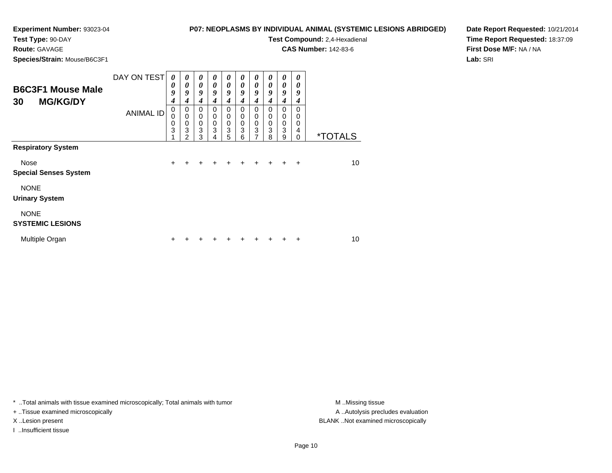#### **P07: NEOPLASMS BY INDIVIDUAL ANIMAL (SYSTEMIC LESIONS ABRIDGED)**

**Test Compound:** 2,4-Hexadienal **CAS Number:** 142-83-6

**Test Type:** 90-DAY**Route:** GAVAGE

**Species/Strain:** Mouse/B6C3F1

**Date Report Requested:** 10/21/2014**Time Report Requested:** 18:37:09**First Dose M/F:** NA / NA**Lab:** SRI

| <b>B6C3F1 Mouse Male</b><br><b>MG/KG/DY</b><br>30 | DAY ON TEST<br><b>ANIMAL ID</b> | 0<br>0<br>9<br>$\boldsymbol{4}$<br>0<br>$\Omega$<br>0 | 0<br>0<br>9<br>4<br>0<br>0<br>0 | $\boldsymbol{\theta}$<br>$\boldsymbol{\theta}$<br>9<br>4<br>0<br>$\mathbf 0$<br>$\mathbf 0$ | 0<br>0<br>9<br>4<br>0<br>0<br>$\mathbf 0$ | 0<br>$\boldsymbol{\theta}$<br>9<br>$\boldsymbol{4}$<br>$\mathbf 0$<br>0<br>$\pmb{0}$ | 0<br>0<br>9<br>4<br>$\Omega$<br>0<br>0 | 0<br>$\boldsymbol{\theta}$<br>9<br>4<br>0<br>0<br>$\pmb{0}$ | 0<br>0<br>9<br>4<br>0<br>0<br>0 | 0<br>0<br>9<br>4<br>0<br>0<br>0 | $\theta$<br>0<br>9<br>4<br>0<br>0<br>0 |                       |
|---------------------------------------------------|---------------------------------|-------------------------------------------------------|---------------------------------|---------------------------------------------------------------------------------------------|-------------------------------------------|--------------------------------------------------------------------------------------|----------------------------------------|-------------------------------------------------------------|---------------------------------|---------------------------------|----------------------------------------|-----------------------|
|                                                   |                                 | 3                                                     | 3<br>2                          | 3<br>3                                                                                      | 3<br>4                                    | 3<br>5                                                                               | 3<br>6                                 | 3<br>$\overline{7}$                                         | 3<br>8                          | 3<br>9                          | 4<br>$\Omega$                          | <i><b>*TOTALS</b></i> |
| <b>Respiratory System</b>                         |                                 |                                                       |                                 |                                                                                             |                                           |                                                                                      |                                        |                                                             |                                 |                                 |                                        |                       |
| Nose<br><b>Special Senses System</b>              |                                 | $\ddot{}$                                             | ÷                               | $\div$                                                                                      | +                                         | $\div$                                                                               |                                        |                                                             |                                 |                                 | $\div$                                 | 10                    |
| <b>NONE</b><br><b>Urinary System</b>              |                                 |                                                       |                                 |                                                                                             |                                           |                                                                                      |                                        |                                                             |                                 |                                 |                                        |                       |
| <b>NONE</b><br><b>SYSTEMIC LESIONS</b>            |                                 |                                                       |                                 |                                                                                             |                                           |                                                                                      |                                        |                                                             |                                 |                                 |                                        |                       |
| Multiple Organ                                    |                                 | ٠                                                     |                                 |                                                                                             |                                           |                                                                                      |                                        |                                                             |                                 |                                 | +                                      | 10                    |

\* ..Total animals with tissue examined microscopically; Total animals with tumor **M** . Missing tissue M ..Missing tissue

+ ..Tissue examined microscopically

I ..Insufficient tissue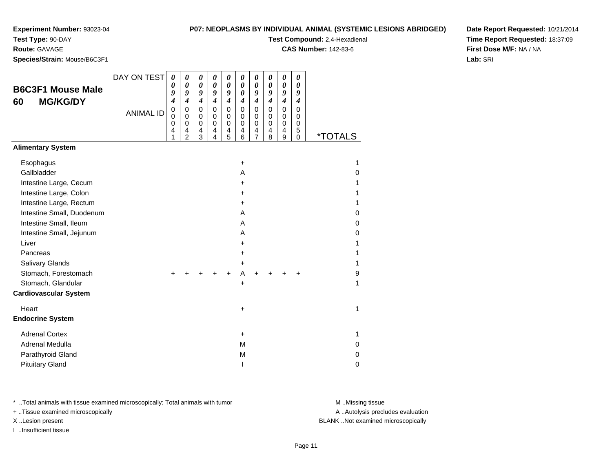**Test Type:** 90-DAY

**Route:** GAVAGE

**Species/Strain:** Mouse/B6C3F1

**Test Compound:** 2,4-Hexadienal

**CAS Number:** 142-83-6

**Date Report Requested:** 10/21/2014**Time Report Requested:** 18:37:09**First Dose M/F:** NA / NA**Lab:** SRI

| <b>B6C3F1 Mouse Male</b><br><b>MG/KG/DY</b><br>60                                        | DAY ON TEST      | $\boldsymbol{\theta}$<br>0<br>9<br>4    | 0<br>$\boldsymbol{\theta}$<br>9<br>$\overline{\boldsymbol{4}}$ | 0<br>0<br>9<br>$\boldsymbol{4}$ | 0<br>0<br>9<br>$\boldsymbol{4}$                      | 0<br>0<br>9<br>$\boldsymbol{4}$ | 0<br>0<br>0<br>$\boldsymbol{4}$           | $\boldsymbol{\theta}$<br>0<br>9<br>$\boldsymbol{4}$ | 0<br>0<br>9<br>$\boldsymbol{4}$           | $\boldsymbol{\theta}$<br>0<br>9<br>$\boldsymbol{4}$ | 0<br>0<br>9<br>4                |                            |
|------------------------------------------------------------------------------------------|------------------|-----------------------------------------|----------------------------------------------------------------|---------------------------------|------------------------------------------------------|---------------------------------|-------------------------------------------|-----------------------------------------------------|-------------------------------------------|-----------------------------------------------------|---------------------------------|----------------------------|
|                                                                                          | <b>ANIMAL ID</b> | $\pmb{0}$<br>$\mathbf 0$<br>0<br>4<br>1 | $\mathbf 0$<br>0<br>$\mathbf 0$<br>4<br>$\overline{2}$         | 0<br>0<br>0<br>4<br>3           | $\pmb{0}$<br>0<br>$\mathbf 0$<br>4<br>$\overline{4}$ | $\mathbf 0$<br>0<br>0<br>4<br>5 | $\mathbf 0$<br>0<br>$\mathbf 0$<br>4<br>6 | 0<br>0<br>0<br>4<br>$\overline{7}$                  | $\mathbf 0$<br>$\mathbf 0$<br>0<br>4<br>8 | 0<br>0<br>0<br>4<br>9                               | $\mathbf 0$<br>0<br>0<br>5<br>0 | <i><b>*TOTALS</b></i>      |
| <b>Alimentary System</b>                                                                 |                  |                                         |                                                                |                                 |                                                      |                                 |                                           |                                                     |                                           |                                                     |                                 |                            |
| Esophagus<br>Gallbladder<br>Intestine Large, Cecum<br>Intestine Large, Colon             |                  |                                         |                                                                |                                 |                                                      |                                 | $\ddot{}$<br>A<br>$\ddot{}$<br>+          |                                                     |                                           |                                                     |                                 | 1<br>0<br>1<br>1           |
| Intestine Large, Rectum<br>Intestine Small, Duodenum<br>Intestine Small, Ileum           |                  |                                         |                                                                |                                 |                                                      |                                 | +<br>A<br>A<br>A                          |                                                     |                                           |                                                     |                                 | 1<br>$\Omega$<br>0<br>0    |
| Intestine Small, Jejunum<br>Liver<br>Pancreas<br>Salivary Glands<br>Stomach, Forestomach |                  | +                                       |                                                                |                                 |                                                      | ÷                               | +<br>+<br>+<br>A                          | +                                                   |                                           |                                                     | +                               | 1<br>1<br>1<br>9           |
| Stomach, Glandular<br><b>Cardiovascular System</b>                                       |                  |                                         |                                                                |                                 |                                                      |                                 | $\ddot{}$                                 |                                                     |                                           |                                                     |                                 | 1                          |
| Heart<br><b>Endocrine System</b>                                                         |                  |                                         |                                                                |                                 |                                                      |                                 | +                                         |                                                     |                                           |                                                     |                                 | 1                          |
| <b>Adrenal Cortex</b><br>Adrenal Medulla<br>Parathyroid Gland<br><b>Pituitary Gland</b>  |                  |                                         |                                                                |                                 |                                                      |                                 | +<br>M<br>M                               |                                                     |                                           |                                                     |                                 | 1<br>0<br>$\mathbf 0$<br>0 |

\* ..Total animals with tissue examined microscopically; Total animals with tumor **M** ..Missing tissue M ..Missing tissue

+ ..Tissue examined microscopically

I ..Insufficient tissue

A ..Autolysis precludes evaluation

X ..Lesion present BLANK ..Not examined microscopically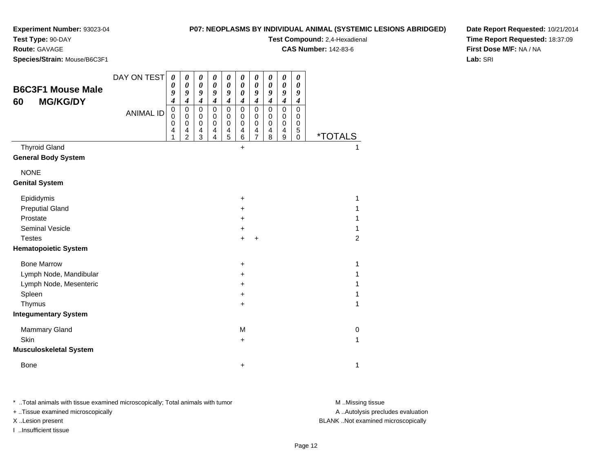### **Experiment Number:** 93023-04**Test Type:** 90-DAY

#### **P07: NEOPLASMS BY INDIVIDUAL ANIMAL (SYSTEMIC LESIONS ABRIDGED)**

**Test Compound:** 2,4-Hexadienal

**CAS Number:** 142-83-6

**Species/Strain:** Mouse/B6C3F1

**Route:** GAVAGE

**Date Report Requested:** 10/21/2014**Time Report Requested:** 18:37:09**First Dose M/F:** NA / NA**Lab:** SRI

|                               | DAY ON TEST      | 0                | 0                          | 0                          | 0                          | $\boldsymbol{\theta}$ | 0                                              | 0                          | 0                | 0                | 0      |                       |  |
|-------------------------------|------------------|------------------|----------------------------|----------------------------|----------------------------|-----------------------|------------------------------------------------|----------------------------|------------------|------------------|--------|-----------------------|--|
| <b>B6C3F1 Mouse Male</b>      |                  | 0<br>9           | $\boldsymbol{\theta}$<br>9 | $\boldsymbol{\theta}$<br>9 | $\pmb{\theta}$<br>9        | 0<br>9                | $\boldsymbol{\theta}$<br>$\boldsymbol{\theta}$ | $\boldsymbol{\theta}$<br>9 | 0<br>9           | 0<br>9           | 0<br>9 |                       |  |
| <b>MG/KG/DY</b><br>60         |                  | 4                | $\boldsymbol{4}$           | $\boldsymbol{4}$           | $\boldsymbol{4}$           | $\boldsymbol{4}$      | 4                                              | 4                          | $\boldsymbol{4}$ | $\boldsymbol{4}$ | 4      |                       |  |
|                               | <b>ANIMAL ID</b> | 0<br>$\mathbf 0$ | $\pmb{0}$<br>$\mathbf 0$   | $\pmb{0}$<br>0             | $\mathbf 0$<br>$\mathbf 0$ | $\mathbf 0$<br>0      | $\pmb{0}$<br>0                                 | $\mathbf 0$<br>0           | $\pmb{0}$<br>0   | 0<br>0           | 0<br>0 |                       |  |
|                               |                  | 0                | $\mathbf 0$                | $\pmb{0}$                  | 0                          | 0                     | $\pmb{0}$                                      | 0                          | 0                | 0                | 0      |                       |  |
|                               |                  | 4<br>1           | 4<br>$\overline{2}$        | 4<br>3                     | 4<br>4                     | 4<br>5                | 4<br>$\,6$                                     | 4<br>$\overline{7}$        | 4<br>8           | 4<br>9           | 5<br>0 | <i><b>*TOTALS</b></i> |  |
| <b>Thyroid Gland</b>          |                  |                  |                            |                            |                            |                       | $\ddot{}$                                      |                            |                  |                  |        |                       |  |
| <b>General Body System</b>    |                  |                  |                            |                            |                            |                       |                                                |                            |                  |                  |        |                       |  |
| <b>NONE</b>                   |                  |                  |                            |                            |                            |                       |                                                |                            |                  |                  |        |                       |  |
| <b>Genital System</b>         |                  |                  |                            |                            |                            |                       |                                                |                            |                  |                  |        |                       |  |
| Epididymis                    |                  |                  |                            |                            |                            |                       | $\ddot{}$                                      |                            |                  |                  |        | 1                     |  |
| <b>Preputial Gland</b>        |                  |                  |                            |                            |                            |                       | +                                              |                            |                  |                  |        | 1                     |  |
| Prostate                      |                  |                  |                            |                            |                            |                       | $\ddot{}$                                      |                            |                  |                  |        | 1                     |  |
| <b>Seminal Vesicle</b>        |                  |                  |                            |                            |                            |                       | +                                              |                            |                  |                  |        | 1                     |  |
| <b>Testes</b>                 |                  |                  |                            |                            |                            |                       | $+$                                            | $\ddot{}$                  |                  |                  |        | 2                     |  |
| <b>Hematopoietic System</b>   |                  |                  |                            |                            |                            |                       |                                                |                            |                  |                  |        |                       |  |
| <b>Bone Marrow</b>            |                  |                  |                            |                            |                            |                       | $\ddot{}$                                      |                            |                  |                  |        | 1                     |  |
| Lymph Node, Mandibular        |                  |                  |                            |                            |                            |                       | $\ddot{}$                                      |                            |                  |                  |        | 1                     |  |
| Lymph Node, Mesenteric        |                  |                  |                            |                            |                            |                       | +                                              |                            |                  |                  |        | 1                     |  |
| Spleen                        |                  |                  |                            |                            |                            |                       | +                                              |                            |                  |                  |        | 1                     |  |
| Thymus                        |                  |                  |                            |                            |                            |                       | +                                              |                            |                  |                  |        | 1                     |  |
| <b>Integumentary System</b>   |                  |                  |                            |                            |                            |                       |                                                |                            |                  |                  |        |                       |  |
| <b>Mammary Gland</b>          |                  |                  |                            |                            |                            |                       | M                                              |                            |                  |                  |        | 0                     |  |
| Skin                          |                  |                  |                            |                            |                            |                       | +                                              |                            |                  |                  |        | 1                     |  |
| <b>Musculoskeletal System</b> |                  |                  |                            |                            |                            |                       |                                                |                            |                  |                  |        |                       |  |
| <b>Bone</b>                   |                  |                  |                            |                            |                            |                       | +                                              |                            |                  |                  |        | 1                     |  |

\* ..Total animals with tissue examined microscopically; Total animals with tumor **M** . Missing tissue M ..Missing tissue

+ ..Tissue examined microscopically

I ..Insufficient tissue

A ..Autolysis precludes evaluation

X ..Lesion present BLANK ..Not examined microscopically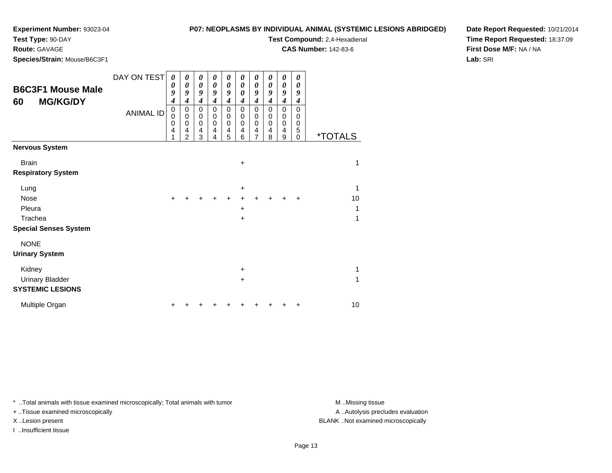#### **P07: NEOPLASMS BY INDIVIDUAL ANIMAL (SYSTEMIC LESIONS ABRIDGED)**

**Test Compound:** 2,4-Hexadienal **CAS Number:** 142-83-6

**Test Type:** 90-DAY

**Route:** GAVAGE

**Species/Strain:** Mouse/B6C3F1

**Date Report Requested:** 10/21/2014**Time Report Requested:** 18:37:09**First Dose M/F:** NA / NA**Lab:** SRI

| <b>B6C3F1 Mouse Male</b><br><b>MG/KG/DY</b><br>60 | DAY ON TEST<br><b>ANIMAL ID</b> | 0<br>0<br>9<br>4<br>0<br>$\mathbf 0$<br>0<br>$\overline{\mathbf{4}}$<br>1 | 0<br>0<br>9<br>$\boldsymbol{4}$<br>$\pmb{0}$<br>$\pmb{0}$<br>$\pmb{0}$<br>4<br>$\overline{2}$ | 0<br>0<br>9<br>$\boldsymbol{4}$<br>$\mathbf 0$<br>$\mathbf 0$<br>$\mathbf 0$<br>4<br>3 | 0<br>0<br>9<br>4<br>0<br>$\mathbf 0$<br>$\mathbf 0$<br>4<br>4 | $\boldsymbol{\theta}$<br>0<br>9<br>$\boldsymbol{4}$<br>0<br>0<br>0<br>4<br>5 | 0<br>$\boldsymbol{\theta}$<br>0<br>$\boldsymbol{4}$<br>0<br>$\pmb{0}$<br>0<br>4<br>6 | 0<br>0<br>9<br>$\boldsymbol{4}$<br>$\mathbf 0$<br>0<br>$\mathbf 0$<br>4<br>$\overline{7}$ | 0<br>0<br>9<br>4<br>$\mathbf 0$<br>$\mathbf 0$<br>0<br>4<br>8 | 0<br>0<br>9<br>$\overline{\boldsymbol{4}}$<br>0<br>0<br>$\mathbf 0$<br>4<br>9 | 0<br>0<br>9<br>4<br>$\Omega$<br>0<br>0<br>5<br>$\Omega$ | <i><b>*TOTALS</b></i> |
|---------------------------------------------------|---------------------------------|---------------------------------------------------------------------------|-----------------------------------------------------------------------------------------------|----------------------------------------------------------------------------------------|---------------------------------------------------------------|------------------------------------------------------------------------------|--------------------------------------------------------------------------------------|-------------------------------------------------------------------------------------------|---------------------------------------------------------------|-------------------------------------------------------------------------------|---------------------------------------------------------|-----------------------|
| <b>Nervous System</b>                             |                                 |                                                                           |                                                                                               |                                                                                        |                                                               |                                                                              |                                                                                      |                                                                                           |                                                               |                                                                               |                                                         |                       |
| <b>Brain</b><br><b>Respiratory System</b>         |                                 |                                                                           |                                                                                               |                                                                                        |                                                               |                                                                              | $\ddot{}$                                                                            |                                                                                           |                                                               |                                                                               |                                                         | 1                     |
| Lung                                              |                                 |                                                                           |                                                                                               |                                                                                        |                                                               |                                                                              | +                                                                                    |                                                                                           |                                                               |                                                                               |                                                         | 1                     |
| <b>Nose</b>                                       |                                 |                                                                           |                                                                                               |                                                                                        |                                                               |                                                                              |                                                                                      |                                                                                           |                                                               |                                                                               |                                                         | 10                    |
| Pleura                                            |                                 |                                                                           |                                                                                               |                                                                                        |                                                               |                                                                              | $\ddot{}$                                                                            |                                                                                           |                                                               |                                                                               |                                                         | 1                     |
| Trachea                                           |                                 |                                                                           |                                                                                               |                                                                                        |                                                               |                                                                              | +                                                                                    |                                                                                           |                                                               |                                                                               |                                                         | 1                     |
| <b>Special Senses System</b>                      |                                 |                                                                           |                                                                                               |                                                                                        |                                                               |                                                                              |                                                                                      |                                                                                           |                                                               |                                                                               |                                                         |                       |
| <b>NONE</b>                                       |                                 |                                                                           |                                                                                               |                                                                                        |                                                               |                                                                              |                                                                                      |                                                                                           |                                                               |                                                                               |                                                         |                       |
| <b>Urinary System</b>                             |                                 |                                                                           |                                                                                               |                                                                                        |                                                               |                                                                              |                                                                                      |                                                                                           |                                                               |                                                                               |                                                         |                       |
| Kidney                                            |                                 |                                                                           |                                                                                               |                                                                                        |                                                               |                                                                              | $\ddot{}$                                                                            |                                                                                           |                                                               |                                                                               |                                                         | 1                     |
| <b>Urinary Bladder</b>                            |                                 |                                                                           |                                                                                               |                                                                                        |                                                               |                                                                              | +                                                                                    |                                                                                           |                                                               |                                                                               |                                                         | 1                     |
| <b>SYSTEMIC LESIONS</b>                           |                                 |                                                                           |                                                                                               |                                                                                        |                                                               |                                                                              |                                                                                      |                                                                                           |                                                               |                                                                               |                                                         |                       |
| Multiple Organ                                    |                                 |                                                                           |                                                                                               |                                                                                        |                                                               |                                                                              |                                                                                      |                                                                                           |                                                               |                                                                               |                                                         | 10                    |

\* ..Total animals with tissue examined microscopically; Total animals with tumor **M** . Missing tissue M ..Missing tissue

+ ..Tissue examined microscopically

I ..Insufficient tissue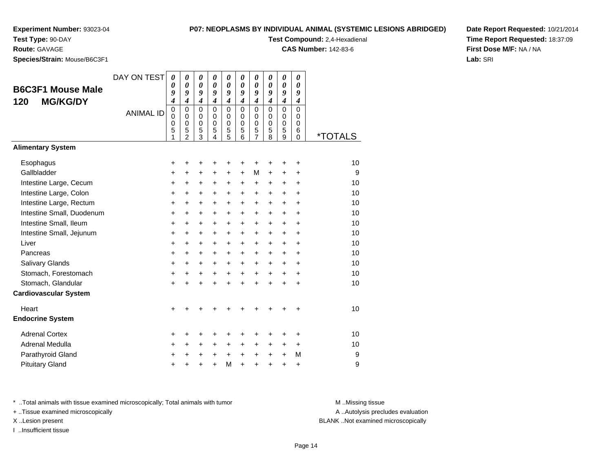# **P07: NEOPLASMS BY INDIVIDUAL ANIMAL**

**Test Type:** 90-DAY

**Route:** GAVAGE

**Species/Strain:** Mouse/B6C3F1

| NDIVIDUAL ANIMAL (SYSTEMIC LESIONS ABRIDGED) | Date Repo         |
|----------------------------------------------|-------------------|
| <b>Test Compound: 2.4-Hexadienal</b>         | <b>Time Repo</b>  |
| <b>CAS Number: 142-83-6</b>                  | <b>First Dose</b> |

**Date Report Requested:** 10/21/2014**Time Report Requested:** 18:37:09**M/F:** NA / NA **Lab:** SRI

| <b>B6C3F1 Mouse Male</b><br><b>MG/KG/DY</b><br>120                                                                                                                                                                                                         | DAY ON TEST<br><b>ANIMAL ID</b> | 0<br>0<br>9<br>$\overline{\boldsymbol{4}}$<br>$\mathbf 0$<br>$\mathbf 0$<br>0<br>5<br>1                                          | 0<br>$\boldsymbol{\theta}$<br>9<br>$\overline{\boldsymbol{4}}$<br>$\pmb{0}$<br>$\mathbf 0$<br>$\mathbf 0$<br>5<br>$\overline{2}$ | 0<br>$\boldsymbol{\theta}$<br>9<br>$\overline{\boldsymbol{4}}$<br>0<br>$\mathbf 0$<br>$\mathbf 0$<br>5<br>$\overline{3}$ | 0<br>$\boldsymbol{\theta}$<br>9<br>$\overline{\boldsymbol{4}}$<br>$\mathbf 0$<br>$\Omega$<br>$\Omega$<br>5<br>4                  | 0<br>$\boldsymbol{\theta}$<br>9<br>$\boldsymbol{4}$<br>$\pmb{0}$<br>$\pmb{0}$<br>$\mathbf 0$<br>5<br>5                           | 0<br>$\boldsymbol{\theta}$<br>9<br>$\overline{4}$<br>0<br>$\mathbf 0$<br>$\mathbf 0$<br>5<br>6 | 0<br>0<br>9<br>$\overline{\boldsymbol{4}}$<br>0<br>$\mathbf 0$<br>0<br>5<br>$\overline{7}$                                 | 0<br>$\boldsymbol{\theta}$<br>9<br>$\boldsymbol{4}$<br>$\mathbf 0$<br>$\Omega$<br>$\Omega$<br>5<br>8                               | $\boldsymbol{\theta}$<br>$\boldsymbol{\theta}$<br>9<br>$\boldsymbol{4}$<br>$\mathbf 0$<br>0<br>$\mathbf 0$<br>5<br>9       | 0<br>0<br>9<br>$\boldsymbol{4}$<br>$\mathbf 0$<br>0<br>$\mathbf 0$<br>6<br>$\Omega$                                                              | <i><b>*TOTALS</b></i>                                               |
|------------------------------------------------------------------------------------------------------------------------------------------------------------------------------------------------------------------------------------------------------------|---------------------------------|----------------------------------------------------------------------------------------------------------------------------------|----------------------------------------------------------------------------------------------------------------------------------|--------------------------------------------------------------------------------------------------------------------------|----------------------------------------------------------------------------------------------------------------------------------|----------------------------------------------------------------------------------------------------------------------------------|------------------------------------------------------------------------------------------------|----------------------------------------------------------------------------------------------------------------------------|------------------------------------------------------------------------------------------------------------------------------------|----------------------------------------------------------------------------------------------------------------------------|--------------------------------------------------------------------------------------------------------------------------------------------------|---------------------------------------------------------------------|
| <b>Alimentary System</b>                                                                                                                                                                                                                                   |                                 |                                                                                                                                  |                                                                                                                                  |                                                                                                                          |                                                                                                                                  |                                                                                                                                  |                                                                                                |                                                                                                                            |                                                                                                                                    |                                                                                                                            |                                                                                                                                                  |                                                                     |
| Esophagus<br>Gallbladder<br>Intestine Large, Cecum<br>Intestine Large, Colon<br>Intestine Large, Rectum<br>Intestine Small, Duodenum<br>Intestine Small, Ileum<br>Intestine Small, Jejunum<br>Liver<br>Pancreas<br>Salivary Glands<br>Stomach, Forestomach |                                 | +<br>$\ddot{}$<br>+<br>$\ddot{}$<br>$\ddot{}$<br>+<br>$\ddot{}$<br>$\ddot{}$<br>$\ddot{}$<br>$\ddot{}$<br>$\ddot{}$<br>$\ddot{}$ | +<br>+<br>$\ddot{}$<br>$\ddot{}$<br>$\ddot{}$<br>$\ddot{}$<br>$\ddot{}$<br>$\ddot{}$<br>$\ddot{}$<br>+<br>$\ddot{}$<br>$\ddot{}$ | +<br>+<br>+<br>+<br>$\ddot{}$<br>$\ddot{}$<br>+<br>$\ddot{}$<br>$\ddot{}$<br>$\ddot{}$<br>$\ddot{}$<br>+                 | +<br>+<br>+<br>$\ddot{}$<br>$\ddot{}$<br>$\ddot{}$<br>$\ddot{}$<br>$\ddot{}$<br>$\ddot{}$<br>$\ddot{}$<br>$\ddot{}$<br>$\ddot{}$ | +<br>+<br>+<br>$\ddot{}$<br>$\ddot{}$<br>$\ddot{}$<br>$\ddot{}$<br>$\ddot{}$<br>$\ddot{}$<br>$\ddot{}$<br>$\ddot{}$<br>$\ddot{}$ | +<br>$+$<br>+<br>$+$<br>$+$<br>$+$<br>$\ddot{}$<br>$+$<br>$+$<br>$+$<br>$+$<br>$+$             | +<br>M<br>+<br>$\ddot{}$<br>$\ddot{}$<br>$\ddot{}$<br>$\ddot{}$<br>$+$<br>$\ddot{}$<br>$\ddot{}$<br>$\ddot{}$<br>$\ddot{}$ | +<br>$\ddot{}$<br>+<br>$\ddot{}$<br>$\ddot{}$<br>$\ddot{}$<br>$\ddot{}$<br>$\ddot{}$<br>$\ddot{}$<br>$\ddot{}$<br>$\ddot{}$<br>$+$ | +<br>+<br>+<br>$\ddot{}$<br>$\ddot{}$<br>$\ddot{}$<br>$+$<br>$\ddot{}$<br>$\ddot{}$<br>$\ddot{}$<br>$\ddot{}$<br>$\ddot{}$ | +<br>$\ddot{}$<br>$\ddot{}$<br>$\ddot{}$<br>$\ddot{}$<br>$\ddot{}$<br>$\ddot{}$<br>$\ddot{}$<br>$\ddot{}$<br>$\ddot{}$<br>$\ddot{}$<br>$\ddot{}$ | 10<br>9<br>10<br>10<br>10<br>10<br>10<br>10<br>10<br>10<br>10<br>10 |
| Stomach, Glandular                                                                                                                                                                                                                                         |                                 | $\ddot{}$                                                                                                                        | Ŧ.                                                                                                                               | $\ddot{}$                                                                                                                | $\ddot{}$                                                                                                                        | $\ddot{}$                                                                                                                        | $\ddot{}$                                                                                      | $\ddot{}$                                                                                                                  | $\ddot{}$                                                                                                                          | $\ddot{}$                                                                                                                  | $\ddot{}$                                                                                                                                        | 10                                                                  |
| <b>Cardiovascular System</b>                                                                                                                                                                                                                               |                                 |                                                                                                                                  |                                                                                                                                  |                                                                                                                          |                                                                                                                                  |                                                                                                                                  |                                                                                                |                                                                                                                            |                                                                                                                                    |                                                                                                                            |                                                                                                                                                  |                                                                     |
| Heart<br><b>Endocrine System</b>                                                                                                                                                                                                                           |                                 | +                                                                                                                                |                                                                                                                                  |                                                                                                                          |                                                                                                                                  |                                                                                                                                  |                                                                                                |                                                                                                                            |                                                                                                                                    |                                                                                                                            |                                                                                                                                                  | 10                                                                  |
| <b>Adrenal Cortex</b><br><b>Adrenal Medulla</b><br>Parathyroid Gland<br><b>Pituitary Gland</b>                                                                                                                                                             |                                 | +<br>$\ddot{}$<br>$\ddot{}$<br>$\ddot{}$                                                                                         | +<br>$\ddot{}$<br>+                                                                                                              | +<br>+<br>+<br>$\ddot{}$                                                                                                 | +<br>$\ddot{}$<br>$\pm$<br>$\ddot{}$                                                                                             | +<br>$\ddot{}$<br>$\ddot{}$<br>M                                                                                                 | ٠<br>$+$<br>$+$<br>$\ddot{}$                                                                   | +<br>$\ddot{}$<br>$\ddot{}$<br>$\ddot{}$                                                                                   | ٠<br>$\ddot{}$<br>$\ddot{}$<br>$\ddot{}$                                                                                           | $\ddot{}$<br>$\ddot{}$<br>$\ddot{}$                                                                                        | ÷<br>$\ddot{}$<br>M<br>$\ddot{}$                                                                                                                 | 10<br>10<br>9<br>9                                                  |

\* ..Total animals with tissue examined microscopically; Total animals with tumor **M** ..Missing tissue M ..Missing tissue

+ ..Tissue examined microscopically

I ..Insufficient tissue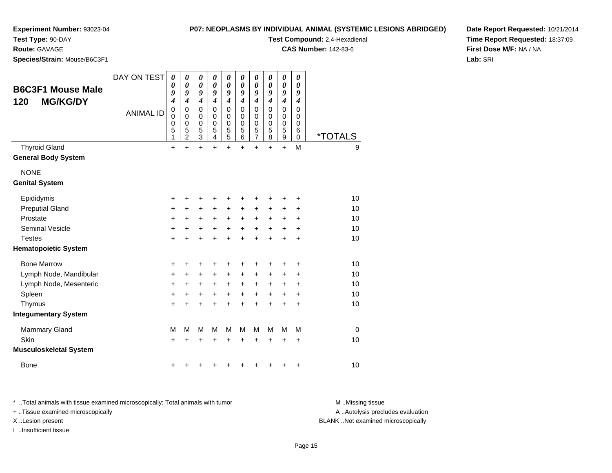#### **P07: NEOPLASMS BY INDIVIDUAL ANIMAL (SYSTEMIC LESIONS ABRIDGED)**

**Test Compound:** 2,4-Hexadienal **CAS Number:** 142-83-6

**Experiment Number:** 93023-04

**Test Type:** 90-DAY

**Route:** GAVAGE

**Species/Strain:** Mouse/B6C3F1

**Date Report Requested:** 10/21/2014**Time Report Requested:** 18:37:09**First Dose M/F:** NA / NA**Lab:** SRI

| <b>B6C3F1 Mouse Male</b><br><b>MG/KG/DY</b><br>120 | DAY ON TEST      | $\boldsymbol{\theta}$<br>$\boldsymbol{\theta}$<br>9<br>4 | 0<br>$\boldsymbol{\theta}$<br>9<br>$\boldsymbol{4}$  | 0<br>$\boldsymbol{\theta}$<br>9<br>$\boldsymbol{4}$                        | 0<br>0<br>9<br>$\boldsymbol{4}$ | 0<br>0<br>9<br>$\boldsymbol{4}$             | 0<br>0<br>9<br>$\boldsymbol{4}$                   | 0<br>0<br>9<br>$\boldsymbol{4}$        | 0<br>0<br>9<br>$\boldsymbol{4}$        | $\boldsymbol{\theta}$<br>$\boldsymbol{\theta}$<br>9<br>$\boldsymbol{4}$ | 0<br>0<br>9<br>4                                 |                       |
|----------------------------------------------------|------------------|----------------------------------------------------------|------------------------------------------------------|----------------------------------------------------------------------------|---------------------------------|---------------------------------------------|---------------------------------------------------|----------------------------------------|----------------------------------------|-------------------------------------------------------------------------|--------------------------------------------------|-----------------------|
|                                                    | <b>ANIMAL ID</b> | $\mathbf 0$<br>$\mathbf 0$<br>$\pmb{0}$<br>5<br>1        | $\mathbf 0$<br>0<br>$\pmb{0}$<br>5<br>$\overline{2}$ | $\mathbf 0$<br>$\mathbf 0$<br>$\mathbf 0$<br>$\mathbf 5$<br>$\mathfrak{S}$ | $\Omega$<br>0<br>0<br>5<br>4    | $\Omega$<br>0<br>$\pmb{0}$<br>$\frac{5}{5}$ | $\mathbf 0$<br>0<br>$\pmb{0}$<br>$\mathbf 5$<br>6 | $\mathbf 0$<br>0<br>0<br>$\frac{5}{7}$ | $\Omega$<br>0<br>$\mathbf 0$<br>5<br>8 | $\mathbf 0$<br>0<br>$\mathbf 0$<br>5<br>$\boldsymbol{9}$                | $\Omega$<br>0<br>$\mathbf 0$<br>6<br>$\mathbf 0$ | <i><b>*TOTALS</b></i> |
| <b>Thyroid Gland</b>                               |                  | $\ddot{}$                                                | $\ddot{}$                                            | $\ddot{}$                                                                  | $\ddot{}$                       | $\ddot{}$                                   | $\ddot{}$                                         | $\ddot{}$                              | $\ddot{}$                              | $+$                                                                     | M                                                | 9                     |
| <b>General Body System</b>                         |                  |                                                          |                                                      |                                                                            |                                 |                                             |                                                   |                                        |                                        |                                                                         |                                                  |                       |
| <b>NONE</b>                                        |                  |                                                          |                                                      |                                                                            |                                 |                                             |                                                   |                                        |                                        |                                                                         |                                                  |                       |
| <b>Genital System</b>                              |                  |                                                          |                                                      |                                                                            |                                 |                                             |                                                   |                                        |                                        |                                                                         |                                                  |                       |
| Epididymis                                         |                  | $\ddot{}$                                                |                                                      | ٠                                                                          | ٠                               | +                                           | +                                                 | +                                      | ٠                                      | ٠                                                                       | ÷                                                | 10                    |
| <b>Preputial Gland</b>                             |                  | +                                                        | $\ddot{}$                                            | $\ddot{}$                                                                  | $\ddot{}$                       | +                                           | +                                                 | $\ddot{}$                              | +                                      | +                                                                       | $\ddot{}$                                        | 10                    |
| Prostate                                           |                  | +                                                        | +                                                    | +                                                                          | $\ddot{}$                       | $\ddot{}$                                   | $\ddot{}$                                         | $\ddot{}$                              | $\ddot{}$                              | +                                                                       | +                                                | 10                    |
| Seminal Vesicle                                    |                  | +                                                        | $\ddot{}$                                            | $\ddot{}$                                                                  | $\ddot{}$                       | $\ddot{}$                                   | $\ddot{}$                                         | $\ddot{}$                              | $\ddot{}$                              | $\ddot{}$                                                               | $\ddot{}$                                        | 10                    |
| <b>Testes</b>                                      |                  | $\ddot{}$                                                |                                                      | ÷                                                                          | ÷                               | $\ddot{}$                                   | $\ddot{}$                                         | $\ddot{}$                              | ÷                                      | $\ddot{}$                                                               | $\ddot{}$                                        | 10                    |
| <b>Hematopoietic System</b>                        |                  |                                                          |                                                      |                                                                            |                                 |                                             |                                                   |                                        |                                        |                                                                         |                                                  |                       |
| <b>Bone Marrow</b>                                 |                  | +                                                        | +                                                    | +                                                                          | +                               | +                                           | +                                                 | +                                      | +                                      | ٠                                                                       | ÷                                                | 10                    |
| Lymph Node, Mandibular                             |                  | +                                                        | $\pm$                                                | +                                                                          | $\ddot{}$                       | +                                           | $\ddot{}$                                         | $\ddot{}$                              | +                                      | +                                                                       | $\ddot{}$                                        | 10                    |
| Lymph Node, Mesenteric                             |                  | +                                                        | +                                                    | +                                                                          | +                               | +                                           | +                                                 | $\ddot{}$                              | +                                      | +                                                                       | +                                                | 10                    |
| Spleen                                             |                  | +                                                        | +                                                    | +                                                                          | +                               | +                                           | $\ddot{}$                                         | $\ddot{}$                              | +                                      | +                                                                       | $\ddot{}$                                        | 10                    |
| Thymus                                             |                  | $\ddot{}$                                                |                                                      | +                                                                          | $\ddot{}$                       | $\ddot{}$                                   | $\ddot{}$                                         | $\ddot{}$                              | $\ddot{}$                              | +                                                                       | $\ddot{}$                                        | 10                    |
| <b>Integumentary System</b>                        |                  |                                                          |                                                      |                                                                            |                                 |                                             |                                                   |                                        |                                        |                                                                         |                                                  |                       |
| <b>Mammary Gland</b>                               |                  | M                                                        | M                                                    | M                                                                          | M                               | M                                           | м                                                 | м                                      | м                                      | M                                                                       | M                                                | $\Omega$              |
| Skin                                               |                  | $\ddot{}$                                                |                                                      | +                                                                          |                                 | +                                           |                                                   | +                                      | +                                      | ÷                                                                       | $\ddot{}$                                        | 10                    |
| <b>Musculoskeletal System</b>                      |                  |                                                          |                                                      |                                                                            |                                 |                                             |                                                   |                                        |                                        |                                                                         |                                                  |                       |
| <b>Bone</b>                                        |                  | +                                                        |                                                      |                                                                            |                                 | ٠                                           |                                                   |                                        | +                                      | +                                                                       | +                                                | 10                    |

\* ..Total animals with tissue examined microscopically; Total animals with tumor **M** . Missing tissue M ..Missing tissue

+ ..Tissue examined microscopically

I ..Insufficient tissue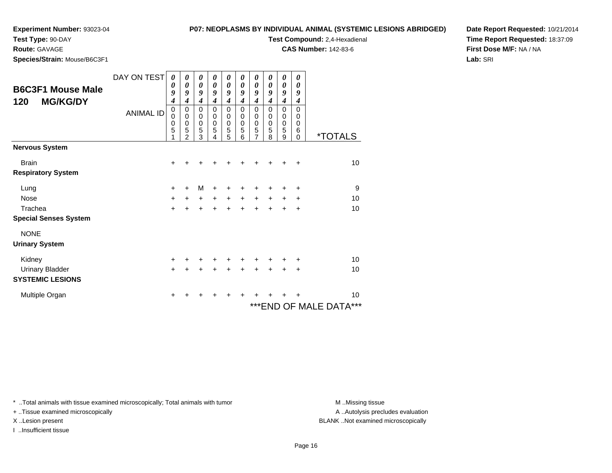#### **P07: NEOPLASMS BY INDIVIDUAL ANIMAL (SYSTEMIC LESIONS ABRIDGED)**

**Test Compound:** 2,4-Hexadienal **CAS Number:** 142-83-6

**Test Type:** 90-DAY

### **Route:** GAVAGE

**Species/Strain:** Mouse/B6C3F1

**Date Report Requested:** 10/21/2014**Time Report Requested:** 18:37:09**First Dose M/F:** NA / NA**Lab:** SRI

| <b>B6C3F1 Mouse Male</b><br><b>MG/KG/DY</b><br>120 | DAY ON TEST<br><b>ANIMAL ID</b> | 0<br>$\boldsymbol{\theta}$<br>9<br>4<br>$\mathbf 0$<br>0<br>$\mathbf 0$<br>5 | $\boldsymbol{\theta}$<br>$\boldsymbol{\theta}$<br>9<br>$\boldsymbol{4}$<br>0<br>$\mathbf 0$<br>$\mathbf 0$<br>5<br>$\mathfrak{p}$ | 0<br>$\boldsymbol{\theta}$<br>9<br>$\boldsymbol{4}$<br>$\mathbf 0$<br>0<br>$\mathbf 0$<br>5<br>3 | 0<br>$\boldsymbol{\theta}$<br>9<br>$\boldsymbol{4}$<br>$\mathbf 0$<br>$\mathbf 0$<br>$\mathbf 0$<br>$\sqrt{5}$<br>4 | 0<br>0<br>9<br>$\boldsymbol{4}$<br>$\mathbf 0$<br>$\mathbf 0$<br>$\mathbf 0$<br>5<br>5 | 0<br>0<br>9<br>4<br>0<br>$\Omega$<br>0<br>5<br>6 | 0<br>0<br>9<br>$\boldsymbol{4}$<br>$\mathbf 0$<br>0<br>$\pmb{0}$<br>5<br>7 | 0<br>$\boldsymbol{\theta}$<br>9<br>$\boldsymbol{4}$<br>0<br>0<br>$\pmb{0}$<br>5<br>8 | 0<br>0<br>9<br>$\overline{\boldsymbol{4}}$<br>$\mathbf 0$<br>$\boldsymbol{0}$<br>$\pmb{0}$<br>5<br>9 | 0<br>0<br>9<br>4<br>0<br>0<br>0<br>6<br>$\Omega$ | <i><b>*TOTALS</b></i>      |
|----------------------------------------------------|---------------------------------|------------------------------------------------------------------------------|-----------------------------------------------------------------------------------------------------------------------------------|--------------------------------------------------------------------------------------------------|---------------------------------------------------------------------------------------------------------------------|----------------------------------------------------------------------------------------|--------------------------------------------------|----------------------------------------------------------------------------|--------------------------------------------------------------------------------------|------------------------------------------------------------------------------------------------------|--------------------------------------------------|----------------------------|
| <b>Nervous System</b>                              |                                 |                                                                              |                                                                                                                                   |                                                                                                  |                                                                                                                     |                                                                                        |                                                  |                                                                            |                                                                                      |                                                                                                      |                                                  |                            |
| <b>Brain</b>                                       |                                 | +                                                                            |                                                                                                                                   |                                                                                                  |                                                                                                                     |                                                                                        |                                                  |                                                                            |                                                                                      |                                                                                                      | ÷                                                | 10                         |
| <b>Respiratory System</b>                          |                                 |                                                                              |                                                                                                                                   |                                                                                                  |                                                                                                                     |                                                                                        |                                                  |                                                                            |                                                                                      |                                                                                                      |                                                  |                            |
| Lung                                               |                                 | +                                                                            | +                                                                                                                                 | M                                                                                                | ÷                                                                                                                   | +                                                                                      | +                                                | +                                                                          |                                                                                      | +                                                                                                    | ÷                                                | 9                          |
| <b>Nose</b>                                        |                                 | +                                                                            | $\ddot{}$                                                                                                                         | $\ddot{}$                                                                                        | $+$                                                                                                                 | $\ddot{}$                                                                              | $+$                                              | $+$                                                                        | $+$                                                                                  | $\ddot{}$                                                                                            | $\ddot{}$                                        | 10                         |
| Trachea                                            |                                 | $\ddot{}$                                                                    |                                                                                                                                   | $\ddot{}$                                                                                        | +                                                                                                                   | $\ddot{}$                                                                              | $\ddot{}$                                        | $\ddot{}$                                                                  | $\div$                                                                               | +                                                                                                    | +                                                | 10                         |
| <b>Special Senses System</b>                       |                                 |                                                                              |                                                                                                                                   |                                                                                                  |                                                                                                                     |                                                                                        |                                                  |                                                                            |                                                                                      |                                                                                                      |                                                  |                            |
| <b>NONE</b>                                        |                                 |                                                                              |                                                                                                                                   |                                                                                                  |                                                                                                                     |                                                                                        |                                                  |                                                                            |                                                                                      |                                                                                                      |                                                  |                            |
| <b>Urinary System</b>                              |                                 |                                                                              |                                                                                                                                   |                                                                                                  |                                                                                                                     |                                                                                        |                                                  |                                                                            |                                                                                      |                                                                                                      |                                                  |                            |
| Kidney                                             |                                 | +                                                                            |                                                                                                                                   |                                                                                                  |                                                                                                                     | +                                                                                      |                                                  |                                                                            |                                                                                      |                                                                                                      | +                                                | 10                         |
| <b>Urinary Bladder</b>                             |                                 | $\ddot{}$                                                                    |                                                                                                                                   |                                                                                                  |                                                                                                                     | $\ddot{}$                                                                              | $\ddot{}$                                        | $\ddot{}$                                                                  | $\ddot{}$                                                                            | $\ddot{}$                                                                                            | $\ddot{}$                                        | 10                         |
| <b>SYSTEMIC LESIONS</b>                            |                                 |                                                                              |                                                                                                                                   |                                                                                                  |                                                                                                                     |                                                                                        |                                                  |                                                                            |                                                                                      |                                                                                                      |                                                  |                            |
| Multiple Organ                                     |                                 | +                                                                            |                                                                                                                                   |                                                                                                  |                                                                                                                     |                                                                                        |                                                  |                                                                            |                                                                                      |                                                                                                      |                                                  | 10                         |
|                                                    |                                 |                                                                              |                                                                                                                                   |                                                                                                  |                                                                                                                     |                                                                                        |                                                  |                                                                            |                                                                                      |                                                                                                      |                                                  | ***<br>***END OF MALE DATA |

\* ..Total animals with tissue examined microscopically; Total animals with tumor **M** . Missing tissue M ..Missing tissue

+ ..Tissue examined microscopically

I ..Insufficient tissue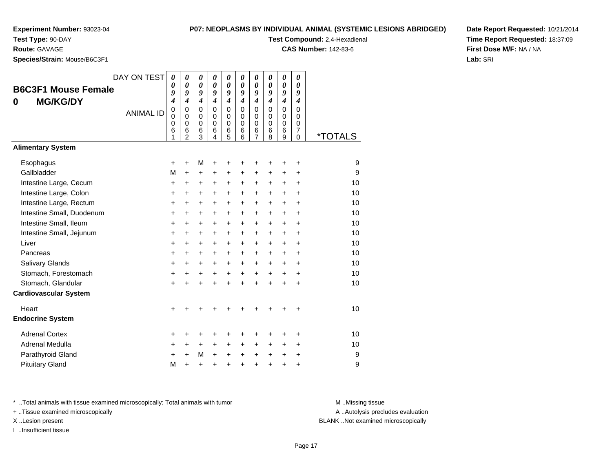**Test Type:** 90-DAY

**Route:** GAVAGE

**Species/Strain:** Mouse/B6C3F1

#### **P07: NEOPLASMS BY INDIVIDUAL ANIMAL (SYSTEMIC LESIONS ABRIDGED)**

**Test Compound:** 2,4-Hexadienal

**CAS Number:** 142-83-6

**Date Report Requested:** 10/21/2014**Time Report Requested:** 18:37:09**First Dose M/F:** NA / NA**Lab:** SRI

| <b>B6C3F1 Mouse Female</b><br><b>MG/KG/DY</b><br>0<br><b>Alimentary System</b> | DAY ON TEST<br><b>ANIMAL ID</b> | 0<br>0<br>9<br>4<br>$\mathsf 0$<br>$\mathbf 0$<br>0<br>6<br>1 | 0<br>$\boldsymbol{\theta}$<br>9<br>$\boldsymbol{4}$<br>$\Omega$<br>$\mathbf 0$<br>$\mathbf 0$<br>6<br>$\overline{2}$ | 0<br>$\boldsymbol{\theta}$<br>9<br>$\boldsymbol{4}$<br>$\mathbf 0$<br>0<br>$\pmb{0}$<br>6<br>3 | 0<br>$\boldsymbol{\theta}$<br>9<br>$\boldsymbol{4}$<br>$\Omega$<br>$\mathbf 0$<br>$\mathbf 0$<br>6<br>$\overline{4}$ | 0<br>0<br>9<br>$\boldsymbol{4}$<br>$\mathbf 0$<br>$\mathbf 0$<br>0<br>6<br>5 | 0<br>0<br>9<br>$\boldsymbol{4}$<br>$\Omega$<br>$\mathbf 0$<br>$\mathbf 0$<br>6<br>6 | 0<br>0<br>9<br>$\boldsymbol{4}$<br>$\mathbf 0$<br>$\mathbf 0$<br>0<br>6<br>$\overline{7}$ | 0<br>0<br>9<br>$\boldsymbol{4}$<br>$\mathbf 0$<br>$\mathbf 0$<br>0<br>6<br>8 | 0<br>$\pmb{\theta}$<br>9<br>$\boldsymbol{4}$<br>$\mathbf 0$<br>$\mathbf 0$<br>0<br>6<br>9 | 0<br>0<br>9<br>4<br>$\mathbf 0$<br>$\mathbf 0$<br>0<br>$\overline{7}$<br>$\Omega$ | <i><b>*TOTALS</b></i> |
|--------------------------------------------------------------------------------|---------------------------------|---------------------------------------------------------------|----------------------------------------------------------------------------------------------------------------------|------------------------------------------------------------------------------------------------|----------------------------------------------------------------------------------------------------------------------|------------------------------------------------------------------------------|-------------------------------------------------------------------------------------|-------------------------------------------------------------------------------------------|------------------------------------------------------------------------------|-------------------------------------------------------------------------------------------|-----------------------------------------------------------------------------------|-----------------------|
|                                                                                |                                 |                                                               |                                                                                                                      |                                                                                                |                                                                                                                      |                                                                              |                                                                                     |                                                                                           |                                                                              |                                                                                           |                                                                                   |                       |
| Esophagus                                                                      |                                 | +                                                             | $\ddot{}$                                                                                                            | M                                                                                              | +                                                                                                                    | +                                                                            | +                                                                                   | +                                                                                         | +                                                                            | +                                                                                         | +                                                                                 | 9                     |
| Gallbladder                                                                    |                                 | M                                                             | $\ddot{}$                                                                                                            | +                                                                                              | +                                                                                                                    | +                                                                            | +                                                                                   | +                                                                                         | +                                                                            | +                                                                                         | $\ddot{}$                                                                         | 9                     |
| Intestine Large, Cecum                                                         |                                 | +                                                             | +                                                                                                                    | +                                                                                              | +                                                                                                                    | +                                                                            | +                                                                                   | +                                                                                         | $\ddot{}$                                                                    | $\pm$                                                                                     | +                                                                                 | 10                    |
| Intestine Large, Colon                                                         |                                 | +                                                             | $\ddot{}$                                                                                                            | $\ddot{}$                                                                                      | $\ddot{}$                                                                                                            | $\ddot{}$                                                                    | +                                                                                   | +                                                                                         | +                                                                            | $\ddot{}$                                                                                 | $\ddot{}$                                                                         | 10                    |
| Intestine Large, Rectum                                                        |                                 | +                                                             | +                                                                                                                    | +                                                                                              | +                                                                                                                    | +                                                                            | +                                                                                   | +                                                                                         | $\ddot{}$                                                                    | $+$                                                                                       | +                                                                                 | 10                    |
| Intestine Small, Duodenum                                                      |                                 | +                                                             | $\ddot{}$                                                                                                            | +                                                                                              | +                                                                                                                    | +                                                                            | +                                                                                   | +                                                                                         | $\ddot{}$                                                                    | $+$                                                                                       | $\ddot{}$                                                                         | 10                    |
| Intestine Small, Ileum                                                         |                                 | +                                                             | +                                                                                                                    | $\ddot{}$                                                                                      | $\ddot{}$                                                                                                            | +                                                                            | +                                                                                   | +                                                                                         | $\ddot{}$                                                                    | $+$                                                                                       | +                                                                                 | 10                    |
| Intestine Small, Jejunum                                                       |                                 | +                                                             | $\ddot{}$                                                                                                            | $\ddot{}$                                                                                      | +                                                                                                                    | +                                                                            | +                                                                                   | +                                                                                         | $\ddot{}$                                                                    | $\ddot{}$                                                                                 | +                                                                                 | 10                    |
| Liver                                                                          |                                 | +                                                             | +                                                                                                                    | +                                                                                              | +                                                                                                                    | +                                                                            | +                                                                                   | +                                                                                         | +                                                                            | +                                                                                         | +                                                                                 | 10                    |
| Pancreas                                                                       |                                 | +                                                             | $\ddot{}$                                                                                                            | +                                                                                              | +                                                                                                                    | +                                                                            | +                                                                                   | +                                                                                         | +                                                                            | $\ddot{}$                                                                                 | $\ddot{}$                                                                         | 10                    |
| Salivary Glands                                                                |                                 | +                                                             | +                                                                                                                    | $\ddot{}$                                                                                      | $\ddot{}$                                                                                                            | +                                                                            | +                                                                                   | +                                                                                         | +                                                                            | $\ddot{}$                                                                                 | $\ddot{}$                                                                         | 10                    |
| Stomach, Forestomach                                                           |                                 | $\ddot{}$                                                     | $\ddot{}$                                                                                                            | +                                                                                              | $\ddot{}$                                                                                                            | $\ddot{}$                                                                    | $\ddot{}$                                                                           | $\ddot{}$                                                                                 | $\ddot{}$                                                                    | $\ddot{}$                                                                                 | $\ddot{}$                                                                         | 10                    |
| Stomach, Glandular                                                             |                                 | $\ddot{}$                                                     | $\ddot{}$                                                                                                            | $\ddot{}$                                                                                      | $\ddot{}$                                                                                                            | $\ddot{}$                                                                    | $\ddot{}$                                                                           | $\ddot{}$                                                                                 | $\ddot{}$                                                                    | $\ddot{}$                                                                                 | $\ddot{}$                                                                         | 10                    |
| <b>Cardiovascular System</b>                                                   |                                 |                                                               |                                                                                                                      |                                                                                                |                                                                                                                      |                                                                              |                                                                                     |                                                                                           |                                                                              |                                                                                           |                                                                                   |                       |
| Heart                                                                          |                                 | $\ddot{}$                                                     |                                                                                                                      |                                                                                                |                                                                                                                      |                                                                              |                                                                                     |                                                                                           |                                                                              | +                                                                                         | +                                                                                 | 10                    |
| <b>Endocrine System</b>                                                        |                                 |                                                               |                                                                                                                      |                                                                                                |                                                                                                                      |                                                                              |                                                                                     |                                                                                           |                                                                              |                                                                                           |                                                                                   |                       |
| <b>Adrenal Cortex</b>                                                          |                                 | +                                                             | ٠                                                                                                                    | +                                                                                              | ٠                                                                                                                    | +                                                                            | +                                                                                   | +                                                                                         |                                                                              | ٠                                                                                         | ٠                                                                                 | 10                    |
| Adrenal Medulla                                                                |                                 | +                                                             | $\ddot{}$                                                                                                            | $\ddot{}$                                                                                      | $\ddot{}$                                                                                                            | +                                                                            | +                                                                                   | +                                                                                         | $\ddot{}$                                                                    | $\ddot{}$                                                                                 | +                                                                                 | 10                    |
| Parathyroid Gland                                                              |                                 | $\ddot{}$                                                     | $\ddot{}$                                                                                                            | M                                                                                              | $\ddot{}$                                                                                                            | $\ddot{}$                                                                    | $\ddot{}$                                                                           | $\ddot{}$                                                                                 | $\ddot{}$                                                                    | $\ddot{}$                                                                                 | $\ddot{}$                                                                         | 9                     |
| <b>Pituitary Gland</b>                                                         |                                 | M                                                             | $\ddot{}$                                                                                                            | $\ddot{}$                                                                                      | $\ddot{}$                                                                                                            | +                                                                            | +                                                                                   | +                                                                                         | $\ddot{}$                                                                    | $\ddot{}$                                                                                 | +                                                                                 | 9                     |

\* ..Total animals with tissue examined microscopically; Total animals with tumor **M** . Missing tissue M ..Missing tissue

+ ..Tissue examined microscopically

I ..Insufficient tissue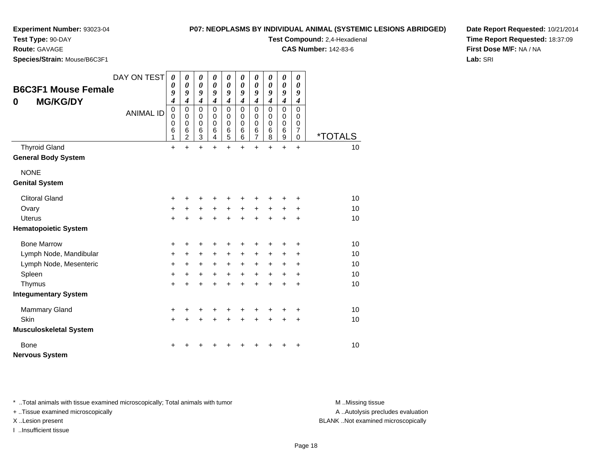#### **P07: NEOPLASMS BY INDIVIDUAL ANIMAL (SYSTEMIC LESIONS ABRIDGED)**

**Test Compound:** 2,4-Hexadienal **CAS Number:** 142-83-6

**Experiment Number:** 93023-04

**Test Type:** 90-DAY

**Route:** GAVAGE

**Species/Strain:** Mouse/B6C3F1

**Date Report Requested:** 10/21/2014**Time Report Requested:** 18:37:09**First Dose M/F:** NA / NA**Lab:** SRI

| <b>B6C3F1 Mouse Female</b>    | DAY ON TEST      | $\boldsymbol{\theta}$<br>0<br>9                               | 0<br>0<br>9                                                                | 0<br>0<br>9                                         | 0<br>0<br>9                                                   | 0<br>$\boldsymbol{\theta}$<br>9                               | 0<br>$\boldsymbol{\theta}$<br>9                                         | $\boldsymbol{\theta}$<br>0<br>9                                             | $\boldsymbol{\theta}$<br>$\boldsymbol{\theta}$<br>9                     | $\boldsymbol{\theta}$<br>$\boldsymbol{\theta}$<br>9                     | $\boldsymbol{\theta}$<br>$\boldsymbol{\theta}$<br>9 |                       |
|-------------------------------|------------------|---------------------------------------------------------------|----------------------------------------------------------------------------|-----------------------------------------------------|---------------------------------------------------------------|---------------------------------------------------------------|-------------------------------------------------------------------------|-----------------------------------------------------------------------------|-------------------------------------------------------------------------|-------------------------------------------------------------------------|-----------------------------------------------------|-----------------------|
| <b>MG/KG/DY</b><br>0          | <b>ANIMAL ID</b> | $\boldsymbol{4}$<br>$\mathbf 0$<br>$\mathbf 0$<br>0<br>6<br>1 | $\boldsymbol{4}$<br>$\mathbf 0$<br>$\mathbf 0$<br>0<br>6<br>$\overline{2}$ | $\boldsymbol{4}$<br>0<br>$\mathbf 0$<br>0<br>6<br>3 | $\boldsymbol{4}$<br>0<br>$\mathbf 0$<br>$\mathbf 0$<br>6<br>4 | $\boldsymbol{4}$<br>$\mathbf 0$<br>$\mathbf 0$<br>0<br>6<br>5 | $\boldsymbol{4}$<br>$\mathbf 0$<br>$\mathbf 0$<br>$\mathbf 0$<br>6<br>6 | $\boldsymbol{4}$<br>$\mathbf 0$<br>$\mathbf 0$<br>$\mathbf 0$<br>$\,6$<br>7 | $\boldsymbol{4}$<br>$\mathbf 0$<br>$\mathbf 0$<br>$\mathbf 0$<br>6<br>8 | $\boldsymbol{4}$<br>$\mathbf 0$<br>$\mathbf 0$<br>$\mathbf 0$<br>6<br>9 | 4<br>0<br>0<br>0<br>7<br>0                          | <i><b>*TOTALS</b></i> |
| <b>Thyroid Gland</b>          |                  | $\ddot{}$                                                     | $\ddot{}$                                                                  | $\ddot{}$                                           | $\ddot{}$                                                     | $\ddot{}$                                                     | $+$                                                                     | $\ddot{}$                                                                   | $\ddot{}$                                                               | $\ddot{}$                                                               | $\ddot{}$                                           | 10                    |
| <b>General Body System</b>    |                  |                                                               |                                                                            |                                                     |                                                               |                                                               |                                                                         |                                                                             |                                                                         |                                                                         |                                                     |                       |
| <b>NONE</b>                   |                  |                                                               |                                                                            |                                                     |                                                               |                                                               |                                                                         |                                                                             |                                                                         |                                                                         |                                                     |                       |
| <b>Genital System</b>         |                  |                                                               |                                                                            |                                                     |                                                               |                                                               |                                                                         |                                                                             |                                                                         |                                                                         |                                                     |                       |
| <b>Clitoral Gland</b>         |                  | +                                                             | +                                                                          | +                                                   |                                                               |                                                               |                                                                         | +                                                                           | +                                                                       |                                                                         | +                                                   | 10                    |
| Ovary                         |                  | $\ddot{}$                                                     | +                                                                          | $\ddot{}$                                           | $\ddot{}$                                                     | $\ddot{}$                                                     | $\ddot{}$                                                               | $\ddot{}$                                                                   | $\ddot{}$                                                               | $\ddot{}$                                                               | +                                                   | 10                    |
| <b>Uterus</b>                 |                  | $+$                                                           | $\ddot{}$                                                                  | $+$                                                 | $\ddot{}$                                                     | $\ddot{}$                                                     | $\ddot{}$                                                               | $+$                                                                         | $\ddot{}$                                                               | $\ddot{}$                                                               | +                                                   | 10                    |
| <b>Hematopoietic System</b>   |                  |                                                               |                                                                            |                                                     |                                                               |                                                               |                                                                         |                                                                             |                                                                         |                                                                         |                                                     |                       |
| <b>Bone Marrow</b>            |                  | +                                                             | +                                                                          | ٠                                                   |                                                               |                                                               |                                                                         | +                                                                           | ٠                                                                       | +                                                                       | +                                                   | 10                    |
| Lymph Node, Mandibular        |                  | $+$                                                           | $\ddot{}$                                                                  | $+$                                                 | $\ddot{}$                                                     | $\ddot{}$                                                     | $+$                                                                     | $\ddot{}$                                                                   | $\ddot{}$                                                               | $\ddot{}$                                                               | +                                                   | 10                    |
| Lymph Node, Mesenteric        |                  | $\ddot{}$                                                     | $\ddot{}$                                                                  | $+$                                                 | $+$                                                           | $+$                                                           | $+$                                                                     | $+$                                                                         | $\ddot{}$                                                               | $+$                                                                     | $\ddot{}$                                           | 10                    |
| Spleen                        |                  | $+$                                                           | $\ddot{}$                                                                  | $+$                                                 | $+$                                                           | $\ddot{}$                                                     | $+$                                                                     | $\ddot{}$                                                                   | $\ddot{}$                                                               | $+$                                                                     | $\ddot{}$                                           | 10                    |
| Thymus                        |                  | $\ddot{}$                                                     | $\ddot{}$                                                                  | $\ddot{}$                                           | ÷                                                             | $\ddot{}$                                                     | $\ddot{}$                                                               | $\ddot{}$                                                                   | $\ddot{}$                                                               | $\ddot{}$                                                               | $\ddot{}$                                           | 10                    |
| <b>Integumentary System</b>   |                  |                                                               |                                                                            |                                                     |                                                               |                                                               |                                                                         |                                                                             |                                                                         |                                                                         |                                                     |                       |
| <b>Mammary Gland</b>          |                  | +                                                             | +                                                                          | $\pm$                                               | +                                                             | +                                                             | $\ddot{}$                                                               | +                                                                           | +                                                                       | +                                                                       | +                                                   | 10                    |
| Skin                          |                  | $+$                                                           | $\ddot{}$                                                                  | $+$                                                 | $\ddot{}$                                                     | $\ddot{}$                                                     | $+$                                                                     | $\ddot{}$                                                                   | $\ddot{}$                                                               | $+$                                                                     | $\ddot{}$                                           | 10                    |
| <b>Musculoskeletal System</b> |                  |                                                               |                                                                            |                                                     |                                                               |                                                               |                                                                         |                                                                             |                                                                         |                                                                         |                                                     |                       |
| <b>Bone</b>                   |                  | +                                                             |                                                                            |                                                     |                                                               |                                                               |                                                                         |                                                                             |                                                                         |                                                                         | +                                                   | 10                    |
| <b>Nervous System</b>         |                  |                                                               |                                                                            |                                                     |                                                               |                                                               |                                                                         |                                                                             |                                                                         |                                                                         |                                                     |                       |

\* ..Total animals with tissue examined microscopically; Total animals with tumor **M** . Missing tissue M ..Missing tissue

+ ..Tissue examined microscopically

I ..Insufficient tissue

A ..Autolysis precludes evaluation

X ..Lesion present BLANK ..Not examined microscopically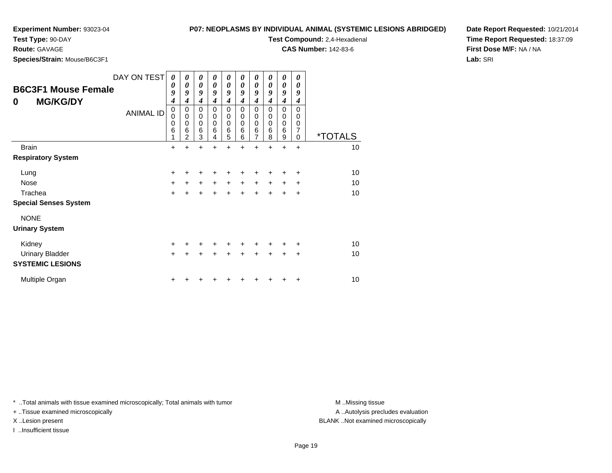**Test Type:** 90-DAY

**Route:** GAVAGE

**Species/Strain:** Mouse/B6C3F1

#### **P07: NEOPLASMS BY INDIVIDUAL ANIMAL (SYSTEMIC LESIONS ABRIDGED)**

**Test Compound:** 2,4-Hexadienal

**CAS Number:** 142-83-6

**Date Report Requested:** 10/21/2014**Time Report Requested:** 18:37:09**First Dose M/F:** NA / NA**Lab:** SRI

| 0            | <b>B6C3F1 Mouse Female</b><br><b>MG/KG/DY</b> | DAY ON TEST<br><b>ANIMAL ID</b> | 0<br>0<br>9<br>4<br>$\mathbf 0$<br>0<br>0<br>$\,6$<br>1 | $\boldsymbol{\theta}$<br>0<br>9<br>4<br>0<br>$\mathbf 0$<br>$\mathbf 0$<br>$\,6$<br>$\overline{2}$ | $\boldsymbol{\theta}$<br>$\boldsymbol{\theta}$<br>9<br>$\boldsymbol{4}$<br>0<br>$\mathbf 0$<br>$\mathbf 0$<br>$\,6$<br>3 | 0<br>0<br>9<br>4<br>0<br>0<br>0<br>$\,6$<br>4 | 0<br>0<br>9<br>$\boldsymbol{4}$<br>0<br>0<br>$\mathbf 0$<br>6<br>5 | $\boldsymbol{\theta}$<br>0<br>9<br>4<br>$\mathbf 0$<br>$\mathbf 0$<br>$\mathbf 0$<br>$6\phantom{1}6$<br>6 | 0<br>0<br>9<br>4<br>$\mathbf 0$<br>$\mathbf 0$<br>$\pmb{0}$<br>$\,6$<br>$\overline{7}$ | 0<br>0<br>9<br>4<br>0<br>0<br>$\mathbf 0$<br>$\,6$<br>8 | 0<br>0<br>9<br>4<br>0<br>0<br>0<br>6<br>9 | 0<br>0<br>9<br>4<br>0<br>0<br>0<br>7<br>0 | <i><b>*TOTALS</b></i> |
|--------------|-----------------------------------------------|---------------------------------|---------------------------------------------------------|----------------------------------------------------------------------------------------------------|--------------------------------------------------------------------------------------------------------------------------|-----------------------------------------------|--------------------------------------------------------------------|-----------------------------------------------------------------------------------------------------------|----------------------------------------------------------------------------------------|---------------------------------------------------------|-------------------------------------------|-------------------------------------------|-----------------------|
| <b>Brain</b> |                                               |                                 | +                                                       |                                                                                                    | +                                                                                                                        |                                               | +                                                                  | ÷                                                                                                         | $\ddot{}$                                                                              | +                                                       | $\ddot{}$                                 | +                                         | 10                    |
|              | <b>Respiratory System</b>                     |                                 |                                                         |                                                                                                    |                                                                                                                          |                                               |                                                                    |                                                                                                           |                                                                                        |                                                         |                                           |                                           |                       |
| Lung         |                                               |                                 | $\ddot{}$                                               |                                                                                                    |                                                                                                                          |                                               |                                                                    |                                                                                                           |                                                                                        |                                                         |                                           | ٠                                         | 10                    |
| <b>Nose</b>  |                                               |                                 | +                                                       | $\ddot{}$                                                                                          | $\ddot{}$                                                                                                                | $\ddot{}$                                     | $\ddot{}$                                                          | $\ddot{}$                                                                                                 | $\ddot{}$                                                                              | $\ddot{}$                                               | $\ddot{}$                                 | ÷                                         | 10                    |
|              | Trachea                                       |                                 | $\ddot{}$                                               |                                                                                                    | $\ddot{}$                                                                                                                |                                               |                                                                    |                                                                                                           |                                                                                        |                                                         | +                                         | $\ddot{}$                                 | 10                    |
|              | <b>Special Senses System</b>                  |                                 |                                                         |                                                                                                    |                                                                                                                          |                                               |                                                                    |                                                                                                           |                                                                                        |                                                         |                                           |                                           |                       |
|              | <b>NONE</b>                                   |                                 |                                                         |                                                                                                    |                                                                                                                          |                                               |                                                                    |                                                                                                           |                                                                                        |                                                         |                                           |                                           |                       |
|              | <b>Urinary System</b>                         |                                 |                                                         |                                                                                                    |                                                                                                                          |                                               |                                                                    |                                                                                                           |                                                                                        |                                                         |                                           |                                           |                       |
|              | Kidney                                        |                                 | +                                                       |                                                                                                    |                                                                                                                          |                                               |                                                                    |                                                                                                           |                                                                                        |                                                         |                                           | ٠                                         | 10                    |
|              | <b>Urinary Bladder</b>                        |                                 | $\ddot{}$                                               |                                                                                                    |                                                                                                                          |                                               | +                                                                  |                                                                                                           | +                                                                                      |                                                         | +                                         | +                                         | 10                    |
|              | <b>SYSTEMIC LESIONS</b>                       |                                 |                                                         |                                                                                                    |                                                                                                                          |                                               |                                                                    |                                                                                                           |                                                                                        |                                                         |                                           |                                           |                       |
|              | Multiple Organ                                |                                 |                                                         |                                                                                                    |                                                                                                                          |                                               |                                                                    |                                                                                                           |                                                                                        |                                                         |                                           | +                                         | 10                    |

\* ..Total animals with tissue examined microscopically; Total animals with tumor **M** . Missing tissue M ..Missing tissue

+ ..Tissue examined microscopically

I ..Insufficient tissue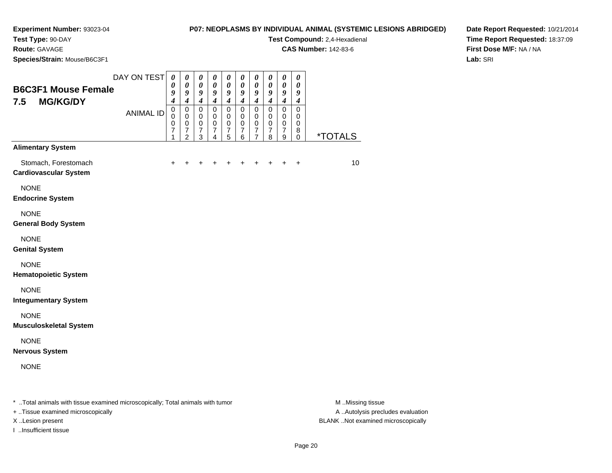#### **P07: NEOPLASMS BY INDIVIDUAL ANIMAL (SYSTEMIC LESIONS ABRIDGED)**

**Test Compound:** 2,4-Hexadienal

**CAS Number:** 142-83-6

**Date Report Requested:** 10/21/2014**Time Report Requested:** 18:37:09**First Dose M/F:** NA / NA**Lab:** SRI

**Test Type:** 90-DAY**Route:** GAVAGE**Species/Strain:** Mouse/B6C3F1

| <b>B6C3F1 Mouse Female</b><br><b>MG/KG/DY</b><br>7.5 | DAY ON TEST<br><b>ANIMAL ID</b> | $\pmb{\theta}$<br>0<br>9<br>$\overline{\boldsymbol{4}}$<br>$\mathbf 0$<br>$\mathsf 0$<br>$\frac{0}{7}$<br>1 | $\pmb{\theta}$<br>$\boldsymbol{\theta}$<br>9<br>$\boldsymbol{4}$<br>$\mathbf 0$<br>$\pmb{0}$<br>$\begin{array}{c} 0 \\ 7 \end{array}$<br>$\overline{2}$ | 0<br>$\boldsymbol{\theta}$<br>9<br>$\boldsymbol{4}$<br>0<br>0<br>$\pmb{0}$<br>$\overline{7}$<br>3 | $\pmb{\theta}$<br>$\boldsymbol{\theta}$<br>9<br>$\boldsymbol{4}$<br>$\mathsf 0$<br>0<br>$\pmb{0}$<br>$\overline{7}$<br>4 | $\boldsymbol{\theta}$<br>$\boldsymbol{\theta}$<br>9<br>$\boldsymbol{4}$<br>$\mathbf 0$<br>$\mathbf 0$<br>$\mathbf 0$<br>$\overline{7}$<br>5 | $\boldsymbol{\theta}$<br>$\boldsymbol{\theta}$<br>9<br>$\boldsymbol{4}$<br>$\pmb{0}$<br>0<br>$\mathbf 0$<br>$\overline{7}$<br>6 | $\boldsymbol{\theta}$<br>$\boldsymbol{\theta}$<br>9<br>$\boldsymbol{4}$<br>$\mathbf 0$<br>$\mathbf 0$<br>$\pmb{0}$<br>$\overline{7}$<br>$\overline{7}$ | $\boldsymbol{\theta}$<br>$\boldsymbol{\theta}$<br>9<br>$\boldsymbol{4}$<br>$\mathsf 0$<br>$\mathbf 0$<br>$\pmb{0}$<br>$\overline{7}$<br>8 | $\boldsymbol{\theta}$<br>$\boldsymbol{\theta}$<br>$\boldsymbol{9}$<br>$\boldsymbol{4}$<br>$\mathsf 0$<br>$\mathbf 0$<br>$\mathbf 0$<br>$\overline{7}$<br>9 | 0<br>$\boldsymbol{\theta}$<br>9<br>$\boldsymbol{4}$<br>$\mathbf 0$<br>$\mathbf 0$<br>$\mathbf 0$<br>$\bf8$<br>0 | <i><b>*TOTALS</b></i> |
|------------------------------------------------------|---------------------------------|-------------------------------------------------------------------------------------------------------------|---------------------------------------------------------------------------------------------------------------------------------------------------------|---------------------------------------------------------------------------------------------------|--------------------------------------------------------------------------------------------------------------------------|---------------------------------------------------------------------------------------------------------------------------------------------|---------------------------------------------------------------------------------------------------------------------------------|--------------------------------------------------------------------------------------------------------------------------------------------------------|-------------------------------------------------------------------------------------------------------------------------------------------|------------------------------------------------------------------------------------------------------------------------------------------------------------|-----------------------------------------------------------------------------------------------------------------|-----------------------|
| <b>Alimentary System</b>                             |                                 |                                                                                                             |                                                                                                                                                         |                                                                                                   |                                                                                                                          |                                                                                                                                             |                                                                                                                                 |                                                                                                                                                        |                                                                                                                                           |                                                                                                                                                            |                                                                                                                 |                       |
| Stomach, Forestomach<br><b>Cardiovascular System</b> |                                 | $\pm$                                                                                                       | +                                                                                                                                                       |                                                                                                   | +                                                                                                                        | ٠                                                                                                                                           |                                                                                                                                 | +                                                                                                                                                      | $\pm$                                                                                                                                     | $\ddot{}$                                                                                                                                                  | $\ddot{}$                                                                                                       | 10                    |
| <b>NONE</b><br><b>Endocrine System</b>               |                                 |                                                                                                             |                                                                                                                                                         |                                                                                                   |                                                                                                                          |                                                                                                                                             |                                                                                                                                 |                                                                                                                                                        |                                                                                                                                           |                                                                                                                                                            |                                                                                                                 |                       |
| <b>NONE</b><br><b>General Body System</b>            |                                 |                                                                                                             |                                                                                                                                                         |                                                                                                   |                                                                                                                          |                                                                                                                                             |                                                                                                                                 |                                                                                                                                                        |                                                                                                                                           |                                                                                                                                                            |                                                                                                                 |                       |
| <b>NONE</b><br><b>Genital System</b>                 |                                 |                                                                                                             |                                                                                                                                                         |                                                                                                   |                                                                                                                          |                                                                                                                                             |                                                                                                                                 |                                                                                                                                                        |                                                                                                                                           |                                                                                                                                                            |                                                                                                                 |                       |
| <b>NONE</b><br><b>Hematopoietic System</b>           |                                 |                                                                                                             |                                                                                                                                                         |                                                                                                   |                                                                                                                          |                                                                                                                                             |                                                                                                                                 |                                                                                                                                                        |                                                                                                                                           |                                                                                                                                                            |                                                                                                                 |                       |
| <b>NONE</b><br><b>Integumentary System</b>           |                                 |                                                                                                             |                                                                                                                                                         |                                                                                                   |                                                                                                                          |                                                                                                                                             |                                                                                                                                 |                                                                                                                                                        |                                                                                                                                           |                                                                                                                                                            |                                                                                                                 |                       |
| <b>NONE</b><br><b>Musculoskeletal System</b>         |                                 |                                                                                                             |                                                                                                                                                         |                                                                                                   |                                                                                                                          |                                                                                                                                             |                                                                                                                                 |                                                                                                                                                        |                                                                                                                                           |                                                                                                                                                            |                                                                                                                 |                       |
| <b>NONE</b><br><b>Nervous System</b>                 |                                 |                                                                                                             |                                                                                                                                                         |                                                                                                   |                                                                                                                          |                                                                                                                                             |                                                                                                                                 |                                                                                                                                                        |                                                                                                                                           |                                                                                                                                                            |                                                                                                                 |                       |
| <b>NONE</b>                                          |                                 |                                                                                                             |                                                                                                                                                         |                                                                                                   |                                                                                                                          |                                                                                                                                             |                                                                                                                                 |                                                                                                                                                        |                                                                                                                                           |                                                                                                                                                            |                                                                                                                 |                       |
|                                                      |                                 |                                                                                                             |                                                                                                                                                         |                                                                                                   |                                                                                                                          |                                                                                                                                             |                                                                                                                                 |                                                                                                                                                        |                                                                                                                                           |                                                                                                                                                            |                                                                                                                 |                       |

\* ..Total animals with tissue examined microscopically; Total animals with tumor **M** . Missing tissue M ..Missing tissue

+ ..Tissue examined microscopically

I ..Insufficient tissue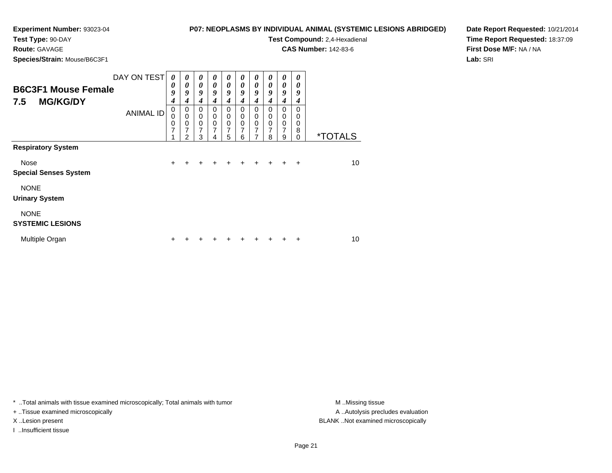**Test Type:** 90-DAY

# **Route:** GAVAGE

**Species/Strain:** Mouse/B6C3F1

**P07: NEOPLASMS BY INDIVIDUAL ANIMAL (SYSTEMIC LESIONS ABRIDGED)**

**Test Compound:** 2,4-Hexadienal

**CAS Number:** 142-83-6

**Date Report Requested:** 10/21/2014**Time Report Requested:** 18:37:09**First Dose M/F:** NA / NA**Lab:** SRI

| <b>B6C3F1 Mouse Female</b><br><b>MG/KG/DY</b><br>7.5 | DAY ON TEST      | 0<br>0<br>9<br>4 | $\boldsymbol{\theta}$<br>0<br>9<br>4 | $\boldsymbol{\theta}$<br>$\boldsymbol{\theta}$<br>9<br>4 | $\boldsymbol{\theta}$<br>$\boldsymbol{\theta}$<br>9<br>4 | $\boldsymbol{\theta}$<br>$\boldsymbol{\theta}$<br>9<br>4 | 0<br>$\boldsymbol{\theta}$<br>9<br>4             | 0<br>$\boldsymbol{\theta}$<br>9<br>$\boldsymbol{4}$ | 0<br>0<br>9<br>4                                              | 0<br>0<br>9<br>4                                    | 0<br>0<br>9<br>4                           |                       |
|------------------------------------------------------|------------------|------------------|--------------------------------------|----------------------------------------------------------|----------------------------------------------------------|----------------------------------------------------------|--------------------------------------------------|-----------------------------------------------------|---------------------------------------------------------------|-----------------------------------------------------|--------------------------------------------|-----------------------|
|                                                      | <b>ANIMAL ID</b> | 0<br>0<br>0<br>7 | 0<br>$\mathbf 0$<br>0<br>7<br>2      | $\mathbf 0$<br>$\mathbf 0$<br>$\mathbf 0$<br>7<br>3      | 0<br>$\mathbf 0$<br>$\mathbf 0$<br>7<br>4                | 0<br>$\mathbf 0$<br>$\mathbf 0$<br>7<br>5                | $\Omega$<br>$\mathbf 0$<br>$\mathbf 0$<br>7<br>6 | $\Omega$<br>$\mathbf 0$<br>$\mathbf 0$<br>7<br>7    | $\Omega$<br>$\mathbf 0$<br>$\mathbf 0$<br>$\overline{7}$<br>8 | $\Omega$<br>$\mathbf 0$<br>0<br>$\overline{7}$<br>9 | $\Omega$<br>0<br>$\Omega$<br>8<br>$\Omega$ | <i><b>*TOTALS</b></i> |
| <b>Respiratory System</b>                            |                  |                  |                                      |                                                          |                                                          |                                                          |                                                  |                                                     |                                                               |                                                     |                                            |                       |
| Nose<br><b>Special Senses System</b>                 |                  | $\ddot{}$        | ٠                                    | ٠                                                        | ٠                                                        | ٠                                                        | ÷                                                | ٠                                                   | ÷                                                             | ÷                                                   | $\ddot{}$                                  | 10                    |
| <b>NONE</b><br><b>Urinary System</b>                 |                  |                  |                                      |                                                          |                                                          |                                                          |                                                  |                                                     |                                                               |                                                     |                                            |                       |
| <b>NONE</b><br><b>SYSTEMIC LESIONS</b>               |                  |                  |                                      |                                                          |                                                          |                                                          |                                                  |                                                     |                                                               |                                                     |                                            |                       |
| Multiple Organ                                       |                  | ÷                |                                      |                                                          |                                                          |                                                          |                                                  |                                                     |                                                               |                                                     | +                                          | 10                    |

\* ..Total animals with tissue examined microscopically; Total animals with tumor **M** . Missing tissue M ..Missing tissue

+ ..Tissue examined microscopically

I ..Insufficient tissue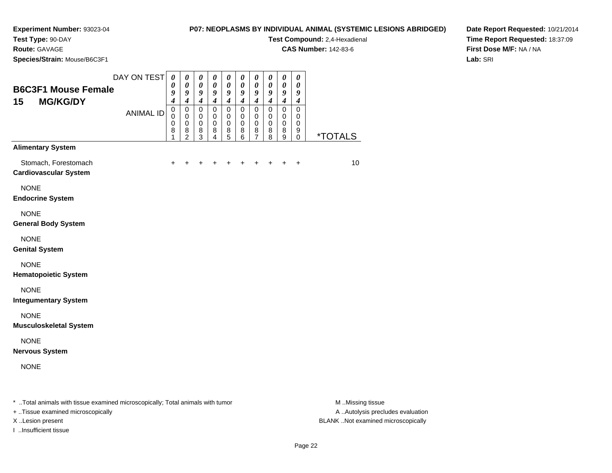## **P07: NEOPLASMS BY INDIVIDUAL ANIMAL (SYSTEMIC LESIONS ABRIDGED)**

**Test Compound:** 2,4-Hexadienal

**CAS Number:** 142-83-6

**Date Report Requested:** 10/21/2014**Time Report Requested:** 18:37:09**First Dose M/F:** NA / NA**Lab:** SRI

**Test Type:** 90-DAY**Route:** GAVAGE **Species/Strain:** Mouse/B6C3F1**B6C3F1 Mouse Female15 MG/KG/DY**

| <b>B6C3F1 Mouse Female</b>                           | DAY ON TEST      | 0<br>0                                    | 0<br>0                                                         | 0<br>$\boldsymbol{\theta}$                                   | $\boldsymbol{\theta}$<br>$\boldsymbol{\theta}$ | 0<br>$\boldsymbol{\theta}$                         | 0<br>0                        | 0<br>0                                     | 0<br>0                        | 0<br>0                                               | 0<br>0                        |                       |
|------------------------------------------------------|------------------|-------------------------------------------|----------------------------------------------------------------|--------------------------------------------------------------|------------------------------------------------|----------------------------------------------------|-------------------------------|--------------------------------------------|-------------------------------|------------------------------------------------------|-------------------------------|-----------------------|
| <b>MG/KG/DY</b><br>15                                |                  | 9<br>$\boldsymbol{4}$                     | 9<br>$\boldsymbol{4}$                                          | 9<br>$\boldsymbol{4}$                                        | 9<br>$\boldsymbol{4}$                          | 9<br>$\boldsymbol{4}$                              | 9<br>$\boldsymbol{4}$         | 9<br>$\boldsymbol{4}$                      | 9<br>$\boldsymbol{4}$         | 9<br>$\boldsymbol{4}$                                | 9<br>$\boldsymbol{4}$         |                       |
|                                                      | <b>ANIMAL ID</b> | $\mathsf 0$<br>$\mathsf 0$<br>0<br>8<br>1 | $\pmb{0}$<br>$\mathbf 0$<br>$\mathbf 0$<br>8<br>$\overline{2}$ | $\pmb{0}$<br>$\mathbf 0$<br>$\pmb{0}$<br>8<br>$\overline{3}$ | $\pmb{0}$<br>$\mathbf 0$<br>0<br>8<br>4        | $\pmb{0}$<br>0<br>$\pmb{0}$<br>8<br>$\overline{5}$ | $\pmb{0}$<br>0<br>0<br>8<br>6 | $\pmb{0}$<br>0<br>0<br>8<br>$\overline{7}$ | $\pmb{0}$<br>0<br>0<br>8<br>8 | $\pmb{0}$<br>0<br>$\mathbf 0$<br>8<br>$\overline{9}$ | $\pmb{0}$<br>0<br>0<br>9<br>0 | <i><b>*TOTALS</b></i> |
| <b>Alimentary System</b>                             |                  |                                           |                                                                |                                                              |                                                |                                                    |                               |                                            |                               |                                                      |                               |                       |
| Stomach, Forestomach<br><b>Cardiovascular System</b> |                  | $\ddot{}$                                 | +                                                              | ٠                                                            | +                                              | +                                                  |                               | +                                          |                               |                                                      | $\ddot{}$                     | 10                    |
| <b>NONE</b><br><b>Endocrine System</b>               |                  |                                           |                                                                |                                                              |                                                |                                                    |                               |                                            |                               |                                                      |                               |                       |
| <b>NONE</b><br><b>General Body System</b>            |                  |                                           |                                                                |                                                              |                                                |                                                    |                               |                                            |                               |                                                      |                               |                       |
| <b>NONE</b><br><b>Genital System</b>                 |                  |                                           |                                                                |                                                              |                                                |                                                    |                               |                                            |                               |                                                      |                               |                       |
| <b>NONE</b><br><b>Hematopoietic System</b>           |                  |                                           |                                                                |                                                              |                                                |                                                    |                               |                                            |                               |                                                      |                               |                       |
| <b>NONE</b><br><b>Integumentary System</b>           |                  |                                           |                                                                |                                                              |                                                |                                                    |                               |                                            |                               |                                                      |                               |                       |
| <b>NONE</b><br><b>Musculoskeletal System</b>         |                  |                                           |                                                                |                                                              |                                                |                                                    |                               |                                            |                               |                                                      |                               |                       |
| <b>NONE</b><br><b>Nervous System</b>                 |                  |                                           |                                                                |                                                              |                                                |                                                    |                               |                                            |                               |                                                      |                               |                       |
| <b>NONE</b>                                          |                  |                                           |                                                                |                                                              |                                                |                                                    |                               |                                            |                               |                                                      |                               |                       |
|                                                      |                  |                                           |                                                                |                                                              |                                                |                                                    |                               |                                            |                               |                                                      |                               |                       |

\* ..Total animals with tissue examined microscopically; Total animals with tumor **M** . Missing tissue M ..Missing tissue

+ ..Tissue examined microscopically

I ..Insufficient tissue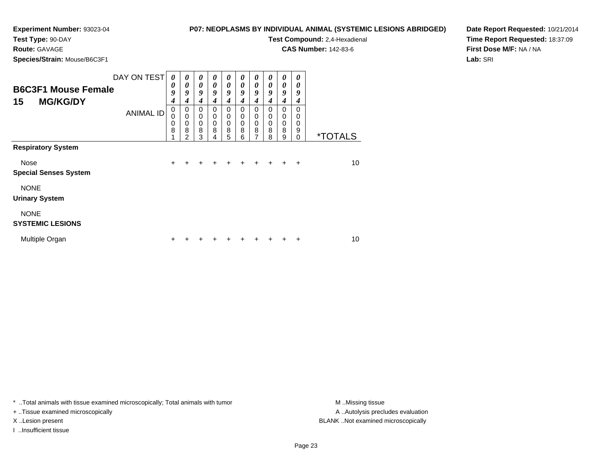# **P07: NEOPLASMS BY INDIVIDUAL ANIMAL (SYSTEMIC LESIONS ABRIDGED)**

**Test Type:** 90-DAY

## **Route:** GAVAGE

**Species/Strain:** Mouse/B6C3F1

| ASMS BY INDIVIDUAL ANIMAL (SYSTEMIC LESIONS ABRIDGEI |
|------------------------------------------------------|
| <b>Test Compound: 2,4-Hexadienal</b>                 |

**CAS Number:** 142-83-6

**Date Report Requested:** 10/21/2014**Time Report Requested:** 18:37:09**First Dose M/F:** NA / NA**Lab:** SRI

| <b>B6C3F1 Mouse Female</b><br>15<br><b>MG/KG/DY</b> | DAY ON TEST      | 0<br>0<br>9<br>4 | 0<br>0<br>9<br>4                                       | $\boldsymbol{\theta}$<br>$\boldsymbol{\theta}$<br>9<br>4 | 0<br>0<br>9<br>4                          | $\boldsymbol{\theta}$<br>$\boldsymbol{\theta}$<br>9<br>4 | 0<br>$\boldsymbol{\theta}$<br>9<br>4      | $\boldsymbol{\theta}$<br>$\boldsymbol{\theta}$<br>9<br>4 | 0<br>$\boldsymbol{\theta}$<br>9<br>4 | 0<br>0<br>9<br>4                             | 0<br>0<br>9<br>4                    |                       |
|-----------------------------------------------------|------------------|------------------|--------------------------------------------------------|----------------------------------------------------------|-------------------------------------------|----------------------------------------------------------|-------------------------------------------|----------------------------------------------------------|--------------------------------------|----------------------------------------------|-------------------------------------|-----------------------|
|                                                     | <b>ANIMAL ID</b> | 0<br>0<br>0<br>8 | 0<br>$\mathbf 0$<br>$\mathbf 0$<br>8<br>$\mathfrak{p}$ | 0<br>$\mathbf 0$<br>$\mathbf 0$<br>8<br>3                | 0<br>$\mathbf 0$<br>$\mathbf 0$<br>8<br>4 | 0<br>$\mathbf 0$<br>$\mathbf 0$<br>8<br>5                | 0<br>$\mathbf 0$<br>$\mathbf 0$<br>8<br>6 | $\Omega$<br>$\mathbf 0$<br>$\mathbf 0$<br>8<br>7         | $\Omega$<br>0<br>0<br>8<br>8         | $\Omega$<br>$\pmb{0}$<br>$\pmb{0}$<br>8<br>9 | $\Omega$<br>0<br>0<br>9<br>$\Omega$ | <i><b>*TOTALS</b></i> |
| <b>Respiratory System</b>                           |                  |                  |                                                        |                                                          |                                           |                                                          |                                           |                                                          |                                      |                                              |                                     |                       |
| Nose<br><b>Special Senses System</b>                |                  | $\ddot{}$        | +                                                      | ÷                                                        | ٠                                         | ٠                                                        | ٠                                         | ÷                                                        | $\div$                               | $\pm$                                        | ÷                                   | 10                    |
| <b>NONE</b><br><b>Urinary System</b>                |                  |                  |                                                        |                                                          |                                           |                                                          |                                           |                                                          |                                      |                                              |                                     |                       |
| <b>NONE</b><br><b>SYSTEMIC LESIONS</b>              |                  |                  |                                                        |                                                          |                                           |                                                          |                                           |                                                          |                                      |                                              |                                     |                       |
| Multiple Organ                                      |                  | ÷                |                                                        |                                                          |                                           |                                                          |                                           |                                                          |                                      |                                              | ٠                                   | 10                    |

\* ..Total animals with tissue examined microscopically; Total animals with tumor **M** . Missing tissue M ..Missing tissue

+ ..Tissue examined microscopically

I ..Insufficient tissue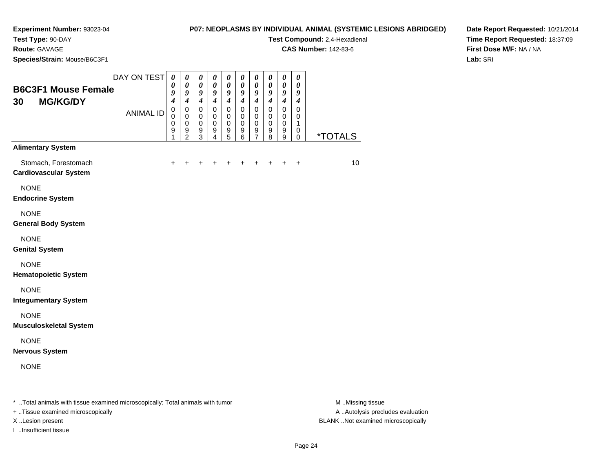### **Experiment Number:** 93023-04**Test Type:** 90-DAY

**Route:** GAVAGE

#### **P07: NEOPLASMS BY INDIVIDUAL ANIMAL (SYSTEMIC LESIONS ABRIDGED)**

**Test Compound:** 2,4-Hexadienal

**CAS Number:** 142-83-6

**Species/Strain:** Mouse/B6C3F1

**Date Report Requested:** 10/21/2014**Time Report Requested:** 18:37:09**First Dose M/F:** NA / NA**Lab:** SRI

| <b>B6C3F1 Mouse Female</b><br><b>MG/KG/DY</b><br>30  | DAY ON TEST<br><b>ANIMAL ID</b> | $\boldsymbol{\theta}$<br>$\boldsymbol{\theta}$<br>9<br>$\boldsymbol{4}$<br>$\mathbf 0$<br>$\mathbf 0$<br>$\mathbf 0$<br>9<br>1 | 0<br>$\boldsymbol{\theta}$<br>9<br>$\boldsymbol{4}$<br>$\mathbf 0$<br>$\mathbf 0$<br>$\pmb{0}$<br>$\frac{9}{2}$ | $\boldsymbol{\theta}$<br>$\pmb{\theta}$<br>9<br>$\boldsymbol{4}$<br>$\mathbf 0$<br>$\mathbf 0$<br>$\pmb{0}$<br>$^9_3$ | $\boldsymbol{\theta}$<br>$\boldsymbol{\theta}$<br>9<br>$\boldsymbol{4}$<br>$\mathbf 0$<br>$\mathbf 0$<br>$\pmb{0}$<br>9<br>$\overline{4}$ | $\boldsymbol{\theta}$<br>$\pmb{\theta}$<br>$\boldsymbol{g}$<br>$\boldsymbol{4}$<br>$\mathbf 0$<br>$\,0\,$<br>$\pmb{0}$<br>$\begin{array}{c} 9 \\ 5 \end{array}$ | 0<br>0<br>$\boldsymbol{9}$<br>$\boldsymbol{4}$<br>$\mathbf 0$<br>0<br>$\pmb{0}$<br>9<br>6 | 0<br>$\boldsymbol{\theta}$<br>$\boldsymbol{9}$<br>$\boldsymbol{4}$<br>$\mathbf 0$<br>$\mathbf 0$<br>$\pmb{0}$<br>$\frac{9}{7}$ | 0<br>0<br>9<br>$\boldsymbol{4}$<br>$\mathbf 0$<br>$\mathbf 0$<br>$\pmb{0}$<br>9<br>8 | 0<br>$\boldsymbol{\theta}$<br>9<br>$\boldsymbol{4}$<br>$\pmb{0}$<br>0<br>$\pmb{0}$<br>$^9_9$ | $\pmb{\theta}$<br>0<br>9<br>$\boldsymbol{4}$<br>$\mathbf 0$<br>0<br>1<br>0<br>0 | <i><b>*TOTALS</b></i> |
|------------------------------------------------------|---------------------------------|--------------------------------------------------------------------------------------------------------------------------------|-----------------------------------------------------------------------------------------------------------------|-----------------------------------------------------------------------------------------------------------------------|-------------------------------------------------------------------------------------------------------------------------------------------|-----------------------------------------------------------------------------------------------------------------------------------------------------------------|-------------------------------------------------------------------------------------------|--------------------------------------------------------------------------------------------------------------------------------|--------------------------------------------------------------------------------------|----------------------------------------------------------------------------------------------|---------------------------------------------------------------------------------|-----------------------|
| <b>Alimentary System</b>                             |                                 |                                                                                                                                |                                                                                                                 |                                                                                                                       |                                                                                                                                           |                                                                                                                                                                 |                                                                                           |                                                                                                                                |                                                                                      |                                                                                              |                                                                                 |                       |
| Stomach, Forestomach<br><b>Cardiovascular System</b> |                                 | $\ddot{}$                                                                                                                      | $\ddot{}$                                                                                                       | $+$                                                                                                                   | $\ddot{}$                                                                                                                                 | $\ddot{}$                                                                                                                                                       | $\ddot{}$                                                                                 | $\ddot{}$                                                                                                                      | $\ddot{}$                                                                            | $\ddot{}$                                                                                    | $\ddot{}$                                                                       | 10                    |
| <b>NONE</b><br><b>Endocrine System</b>               |                                 |                                                                                                                                |                                                                                                                 |                                                                                                                       |                                                                                                                                           |                                                                                                                                                                 |                                                                                           |                                                                                                                                |                                                                                      |                                                                                              |                                                                                 |                       |
| <b>NONE</b><br><b>General Body System</b>            |                                 |                                                                                                                                |                                                                                                                 |                                                                                                                       |                                                                                                                                           |                                                                                                                                                                 |                                                                                           |                                                                                                                                |                                                                                      |                                                                                              |                                                                                 |                       |
| <b>NONE</b><br><b>Genital System</b>                 |                                 |                                                                                                                                |                                                                                                                 |                                                                                                                       |                                                                                                                                           |                                                                                                                                                                 |                                                                                           |                                                                                                                                |                                                                                      |                                                                                              |                                                                                 |                       |
| <b>NONE</b><br><b>Hematopoietic System</b>           |                                 |                                                                                                                                |                                                                                                                 |                                                                                                                       |                                                                                                                                           |                                                                                                                                                                 |                                                                                           |                                                                                                                                |                                                                                      |                                                                                              |                                                                                 |                       |
| <b>NONE</b><br><b>Integumentary System</b>           |                                 |                                                                                                                                |                                                                                                                 |                                                                                                                       |                                                                                                                                           |                                                                                                                                                                 |                                                                                           |                                                                                                                                |                                                                                      |                                                                                              |                                                                                 |                       |
| <b>NONE</b><br><b>Musculoskeletal System</b>         |                                 |                                                                                                                                |                                                                                                                 |                                                                                                                       |                                                                                                                                           |                                                                                                                                                                 |                                                                                           |                                                                                                                                |                                                                                      |                                                                                              |                                                                                 |                       |
| <b>NONE</b><br><b>Nervous System</b>                 |                                 |                                                                                                                                |                                                                                                                 |                                                                                                                       |                                                                                                                                           |                                                                                                                                                                 |                                                                                           |                                                                                                                                |                                                                                      |                                                                                              |                                                                                 |                       |
| <b>NONE</b>                                          |                                 |                                                                                                                                |                                                                                                                 |                                                                                                                       |                                                                                                                                           |                                                                                                                                                                 |                                                                                           |                                                                                                                                |                                                                                      |                                                                                              |                                                                                 |                       |
|                                                      |                                 |                                                                                                                                |                                                                                                                 |                                                                                                                       |                                                                                                                                           |                                                                                                                                                                 |                                                                                           |                                                                                                                                |                                                                                      |                                                                                              |                                                                                 |                       |

\* ..Total animals with tissue examined microscopically; Total animals with tumor **M** . Missing tissue M ..Missing tissue

+ ..Tissue examined microscopically

I ..Insufficient tissue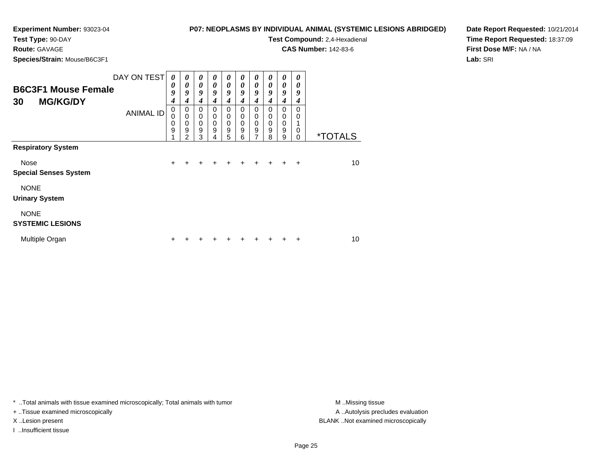## **P07: NEOPLASMS BY INDIVIDUAL ANIMAL (SYSTEMIC LESIONS ABRIDGED)**

**Test Type:** 90-DAY

# **Route:** GAVAGE

**Species/Strain:** Mouse/B6C3F1

**Test Compound:** 2,4-Hexadienal **CAS Number:** 142-83-6

**Date Report Requested:** 10/21/2014**Time Report Requested:** 18:37:09**First Dose M/F:** NA / NA**Lab:** SRI

| <b>B6C3F1 Mouse Female</b><br><b>MG/KG/DY</b><br>30 | DAY ON TEST      | 0<br>0<br>9<br>4 | 0<br>0<br>9<br>4                | $\boldsymbol{\theta}$<br>$\boldsymbol{\theta}$<br>9<br>4           | 0<br>$\boldsymbol{\theta}$<br>9<br>4      | 0<br>$\boldsymbol{\theta}$<br>9<br>4   | 0<br>0<br>9<br>4             | 0<br>$\boldsymbol{\theta}$<br>9<br>$\boldsymbol{4}$                             | 0<br>0<br>9<br>4                       | $\boldsymbol{\theta}$<br>$\boldsymbol{\theta}$<br>9<br>$\boldsymbol{4}$ | 0<br>0<br>9<br>4                         |                       |
|-----------------------------------------------------|------------------|------------------|---------------------------------|--------------------------------------------------------------------|-------------------------------------------|----------------------------------------|------------------------------|---------------------------------------------------------------------------------|----------------------------------------|-------------------------------------------------------------------------|------------------------------------------|-----------------------|
|                                                     | <b>ANIMAL ID</b> | 0<br>0<br>0<br>9 | 0<br>$\mathbf 0$<br>0<br>9<br>2 | $\mathbf 0$<br>$\mathbf 0$<br>$\mathbf 0$<br>$\boldsymbol{9}$<br>3 | $\mathbf 0$<br>$\mathbf 0$<br>0<br>9<br>4 | $\Omega$<br>$\mathbf 0$<br>0<br>9<br>5 | $\Omega$<br>0<br>0<br>9<br>6 | $\mathbf 0$<br>$\mathbf 0$<br>$\mathbf 0$<br>$\boldsymbol{9}$<br>$\overline{7}$ | $\Omega$<br>0<br>$\mathbf 0$<br>9<br>8 | $\Omega$<br>0<br>$\mathbf 0$<br>$\boldsymbol{9}$<br>9                   | $\Omega$<br>0<br>$\mathbf 0$<br>$\Omega$ | <i><b>*TOTALS</b></i> |
| <b>Respiratory System</b>                           |                  |                  |                                 |                                                                    |                                           |                                        |                              |                                                                                 |                                        |                                                                         |                                          |                       |
| Nose<br><b>Special Senses System</b>                |                  | $\ddot{}$        | $\ddot{}$                       | $\pm$                                                              | $\pm$                                     | $\pm$                                  | $\ddot{}$                    | $\pm$                                                                           | $\ddot{}$                              | $\pm$                                                                   | $\ddot{}$                                | 10                    |
| <b>NONE</b><br><b>Urinary System</b>                |                  |                  |                                 |                                                                    |                                           |                                        |                              |                                                                                 |                                        |                                                                         |                                          |                       |
| <b>NONE</b><br><b>SYSTEMIC LESIONS</b>              |                  |                  |                                 |                                                                    |                                           |                                        |                              |                                                                                 |                                        |                                                                         |                                          |                       |
| Multiple Organ                                      |                  | ÷                |                                 |                                                                    |                                           |                                        |                              |                                                                                 |                                        |                                                                         | $\div$                                   | 10                    |

\* ..Total animals with tissue examined microscopically; Total animals with tumor **M** . Missing tissue M ..Missing tissue

+ ..Tissue examined microscopically

I ..Insufficient tissue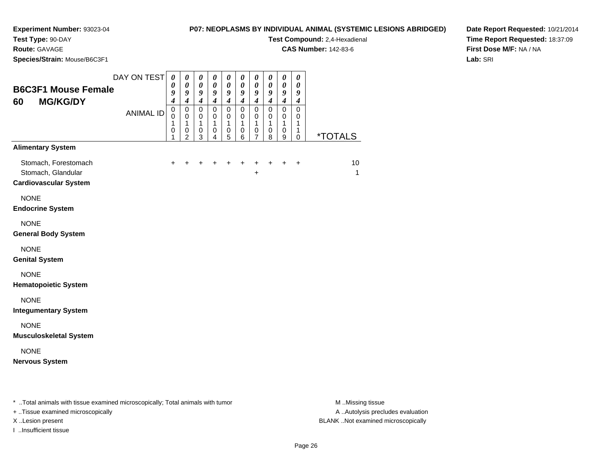# **P07: NEOPLASMS BY INDIVIDUAL ANIMAL (SYSTEMIC LESIONS ABRIDGED)**

**Test Compound:** 2,4-Hexadienal

**CAS Number:** 142-83-6

**Date Report Requested:** 10/21/2014**Time Report Requested:** 18:37:09**First Dose M/F:** NA / NA**Lab:** SRI

**Test Type:** 90-DAY**Route:** GAVAGE**Species/Strain:** Mouse/B6C3F1

| <b>B6C3F1 Mouse Female</b><br><b>MG/KG/DY</b><br>60                        | DAY ON TEST<br><b>ANIMAL ID</b> | $\boldsymbol{\theta}$<br>$\boldsymbol{\theta}$<br>9<br>$\boldsymbol{4}$<br>$\mathbf 0$<br>$\mathbf 0$<br>$\mathbf{1}$<br>$\pmb{0}$<br>1 | $\boldsymbol{\theta}$<br>$\boldsymbol{\theta}$<br>9<br>$\boldsymbol{4}$<br>$\pmb{0}$<br>$\mathbf 0$<br>$\mathbf{1}$<br>$\pmb{0}$<br>$\overline{c}$ | 0<br>$\boldsymbol{\theta}$<br>9<br>$\boldsymbol{4}$<br>$\pmb{0}$<br>$\mathbf 0$<br>$\mathbf{1}$<br>$\pmb{0}$<br>3 | $\boldsymbol{\theta}$<br>$\boldsymbol{\theta}$<br>9<br>$\boldsymbol{4}$<br>$\mathbf 0$<br>$\mathbf 0$<br>$\mathbf{1}$<br>$\pmb{0}$<br>4 | 0<br>$\boldsymbol{\theta}$<br>9<br>$\boldsymbol{4}$<br>$\pmb{0}$<br>$\mathbf 0$<br>1<br>$\boldsymbol{0}$<br>5 | $\pmb{\theta}$<br>$\boldsymbol{\theta}$<br>9<br>$\boldsymbol{4}$<br>0<br>0<br>$\mathbf{1}$<br>0<br>6 | $\boldsymbol{\theta}$<br>$\boldsymbol{\theta}$<br>9<br>4<br>0<br>$\mathbf 0$<br>$\mathbf{1}$<br>0<br>$\overline{7}$ | $\boldsymbol{\theta}$<br>$\boldsymbol{\theta}$<br>9<br>$\boldsymbol{4}$<br>$\mathbf 0$<br>$\mathbf 0$<br>$\mathbf{1}$<br>0<br>8 | $\pmb{\theta}$<br>0<br>9<br>$\boldsymbol{4}$<br>$\mathsf 0$<br>$\mathbf 0$<br>1<br>$\,0\,$<br>9 | 0<br>0<br>9<br>$\boldsymbol{4}$<br>0<br>0<br>$\mathbf{1}$<br>1<br>$\mathbf 0$ | <i><b>*TOTALS</b></i>           |
|----------------------------------------------------------------------------|---------------------------------|-----------------------------------------------------------------------------------------------------------------------------------------|----------------------------------------------------------------------------------------------------------------------------------------------------|-------------------------------------------------------------------------------------------------------------------|-----------------------------------------------------------------------------------------------------------------------------------------|---------------------------------------------------------------------------------------------------------------|------------------------------------------------------------------------------------------------------|---------------------------------------------------------------------------------------------------------------------|---------------------------------------------------------------------------------------------------------------------------------|-------------------------------------------------------------------------------------------------|-------------------------------------------------------------------------------|---------------------------------|
| <b>Alimentary System</b>                                                   |                                 |                                                                                                                                         |                                                                                                                                                    |                                                                                                                   |                                                                                                                                         |                                                                                                               |                                                                                                      |                                                                                                                     |                                                                                                                                 |                                                                                                 |                                                                               |                                 |
| Stomach, Forestomach<br>Stomach, Glandular<br><b>Cardiovascular System</b> |                                 | $\ddot{}$                                                                                                                               | ÷                                                                                                                                                  |                                                                                                                   |                                                                                                                                         |                                                                                                               | +                                                                                                    | +<br>$\ddot{}$                                                                                                      | $\ddot{}$                                                                                                                       | $\ddot{}$                                                                                       | $\ddot{}$                                                                     | 10 <sup>1</sup><br>$\mathbf{1}$ |
| <b>NONE</b><br><b>Endocrine System</b>                                     |                                 |                                                                                                                                         |                                                                                                                                                    |                                                                                                                   |                                                                                                                                         |                                                                                                               |                                                                                                      |                                                                                                                     |                                                                                                                                 |                                                                                                 |                                                                               |                                 |
| <b>NONE</b><br><b>General Body System</b>                                  |                                 |                                                                                                                                         |                                                                                                                                                    |                                                                                                                   |                                                                                                                                         |                                                                                                               |                                                                                                      |                                                                                                                     |                                                                                                                                 |                                                                                                 |                                                                               |                                 |
| <b>NONE</b><br><b>Genital System</b>                                       |                                 |                                                                                                                                         |                                                                                                                                                    |                                                                                                                   |                                                                                                                                         |                                                                                                               |                                                                                                      |                                                                                                                     |                                                                                                                                 |                                                                                                 |                                                                               |                                 |
| <b>NONE</b><br><b>Hematopoietic System</b>                                 |                                 |                                                                                                                                         |                                                                                                                                                    |                                                                                                                   |                                                                                                                                         |                                                                                                               |                                                                                                      |                                                                                                                     |                                                                                                                                 |                                                                                                 |                                                                               |                                 |
| <b>NONE</b><br><b>Integumentary System</b>                                 |                                 |                                                                                                                                         |                                                                                                                                                    |                                                                                                                   |                                                                                                                                         |                                                                                                               |                                                                                                      |                                                                                                                     |                                                                                                                                 |                                                                                                 |                                                                               |                                 |
| <b>NONE</b><br><b>Musculoskeletal System</b>                               |                                 |                                                                                                                                         |                                                                                                                                                    |                                                                                                                   |                                                                                                                                         |                                                                                                               |                                                                                                      |                                                                                                                     |                                                                                                                                 |                                                                                                 |                                                                               |                                 |
| <b>NONE</b><br><b>Nervous System</b>                                       |                                 |                                                                                                                                         |                                                                                                                                                    |                                                                                                                   |                                                                                                                                         |                                                                                                               |                                                                                                      |                                                                                                                     |                                                                                                                                 |                                                                                                 |                                                                               |                                 |
|                                                                            |                                 |                                                                                                                                         |                                                                                                                                                    |                                                                                                                   |                                                                                                                                         |                                                                                                               |                                                                                                      |                                                                                                                     |                                                                                                                                 |                                                                                                 |                                                                               |                                 |

\* ..Total animals with tissue examined microscopically; Total animals with tumor **M** . Missing tissue M ..Missing tissue

+ ..Tissue examined microscopically

I ..Insufficient tissue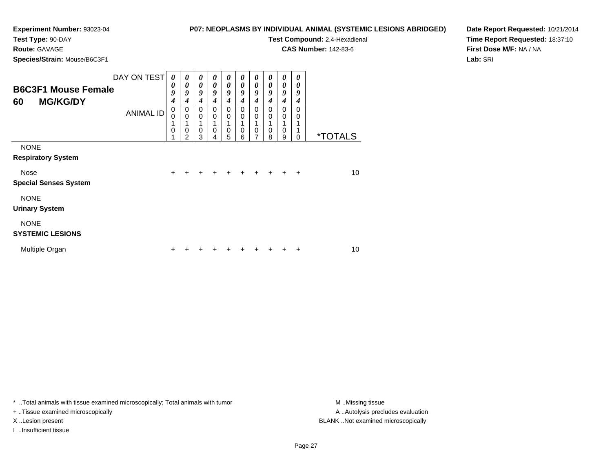### **P07: NEOPLASMS BY INDIVIDUAL ANIMAL (SYSTEMIC LESIONS ABRIDGED)**

**Test Type:** 90-DAY

# **Route:** GAVAGE

**Species/Strain:** Mouse/B6C3F1

**Test Compound:** 2,4-Hexadienal

**CAS Number:** 142-83-6

**Date Report Requested:** 10/21/2014**Time Report Requested:** 18:37:10**First Dose M/F:** NA / NA**Lab:** SRI

| <b>B6C3F1 Mouse Female</b><br><b>MG/KG/DY</b><br>60                              | DAY ON TEST<br><b>ANIMAL ID</b> | 0<br>0<br>9<br>4<br>0<br>$\overline{0}$ | $\boldsymbol{\theta}$<br>0<br>9<br>4<br>0<br>$\mathbf 0$ | 0<br>$\boldsymbol{\theta}$<br>9<br>$\boldsymbol{4}$<br>0<br>$\mathbf 0$ | 0<br>$\boldsymbol{\theta}$<br>9<br>4<br>0<br>$\Omega$ | $\boldsymbol{\theta}$<br>$\boldsymbol{\theta}$<br>9<br>$\boldsymbol{4}$<br>$\mathbf 0$<br>$\mathbf 0$ | $\boldsymbol{\theta}$<br>$\boldsymbol{\theta}$<br>9<br>4<br>0<br>$\mathbf 0$ | $\boldsymbol{\theta}$<br>$\boldsymbol{\theta}$<br>9<br>$\boldsymbol{4}$<br>$\Omega$<br>$\mathbf 0$ | $\boldsymbol{\theta}$<br>0<br>9<br>4<br>0<br>$\mathbf 0$ | $\boldsymbol{\theta}$<br>0<br>9<br>$\boldsymbol{4}$<br>0<br>$\mathbf 0$<br>1 | 0<br>0<br>9<br>$\boldsymbol{4}$<br>0<br>0 |                       |
|----------------------------------------------------------------------------------|---------------------------------|-----------------------------------------|----------------------------------------------------------|-------------------------------------------------------------------------|-------------------------------------------------------|-------------------------------------------------------------------------------------------------------|------------------------------------------------------------------------------|----------------------------------------------------------------------------------------------------|----------------------------------------------------------|------------------------------------------------------------------------------|-------------------------------------------|-----------------------|
|                                                                                  |                                 | $\mathbf 0$                             | 0<br>2                                                   | $\mathbf 0$<br>3                                                        | 0<br>4                                                | $\mathbf 0$<br>5                                                                                      | $\mathbf 0$<br>6                                                             | $\mathbf 0$<br>7                                                                                   | 0<br>8                                                   | $\mathbf 0$<br>$\boldsymbol{9}$                                              | $\Omega$                                  | <i><b>*TOTALS</b></i> |
| <b>NONE</b><br><b>Respiratory System</b><br>Nose<br><b>Special Senses System</b> |                                 | $\ddot{}$                               | +                                                        | ÷                                                                       | +                                                     | $\ddot{}$                                                                                             | $\ddot{}$                                                                    | $\ddot{}$                                                                                          | $+$                                                      | $\ddot{}$                                                                    | $\ddot{}$                                 | 10                    |
| <b>NONE</b><br><b>Urinary System</b>                                             |                                 |                                         |                                                          |                                                                         |                                                       |                                                                                                       |                                                                              |                                                                                                    |                                                          |                                                                              |                                           |                       |
| <b>NONE</b><br><b>SYSTEMIC LESIONS</b>                                           |                                 |                                         |                                                          |                                                                         |                                                       |                                                                                                       |                                                                              |                                                                                                    |                                                          |                                                                              |                                           |                       |
| Multiple Organ                                                                   |                                 | +                                       |                                                          |                                                                         |                                                       |                                                                                                       |                                                                              |                                                                                                    |                                                          |                                                                              | ÷                                         | 10                    |

\* ..Total animals with tissue examined microscopically; Total animals with tumor **M** . Missing tissue M ..Missing tissue

+ ..Tissue examined microscopically

I ..Insufficient tissue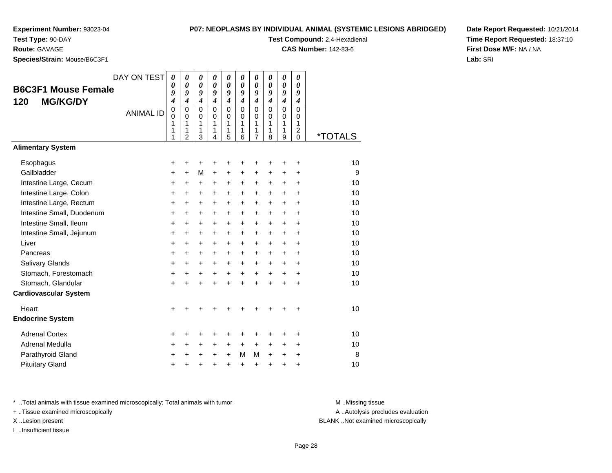### **P07: NEOPLASMS BY INDIVIDUAL**

**Test Type:** 90-DAY

**Route:** GAVAGE

**Species/Strain:** Mouse/B6C3F1

| NDIVIDUAL ANIMAL (SYSTEMIC LESIONS ABRIDGED) | Date F |
|----------------------------------------------|--------|
| <b>Test Compound: 2.4-Hexadienal</b>         | Time l |

**CAS Number:** 142-83-6

**Date Report Requested:** 10/21/2014**Time Report Requested:** 18:37:10**First Dose M/F:** NA / NA**Lab:** SRI

| <b>B6C3F1 Mouse Female</b><br><b>MG/KG/DY</b><br>120 | DAY ON TEST<br><b>ANIMAL ID</b> | $\boldsymbol{\theta}$<br>0<br>9<br>4<br>$\pmb{0}$<br>0<br>1<br>1<br>1 | $\boldsymbol{\theta}$<br>$\boldsymbol{\theta}$<br>9<br>$\overline{\boldsymbol{4}}$<br>$\mathbf 0$<br>$\Omega$<br>1<br>1<br>$\overline{2}$ | $\boldsymbol{\theta}$<br>$\boldsymbol{\theta}$<br>9<br>$\boldsymbol{4}$<br>$\mathbf 0$<br>$\Omega$<br>1<br>1<br>3 | $\boldsymbol{\theta}$<br>$\boldsymbol{\theta}$<br>9<br>$\boldsymbol{4}$<br>$\Omega$<br>$\Omega$<br>1<br>1<br>4 | 0<br>$\boldsymbol{\theta}$<br>9<br>$\boldsymbol{4}$<br>0<br>$\Omega$<br>1<br>1<br>5 | 0<br>0<br>9<br>$\overline{4}$<br>$\Omega$<br>$\Omega$<br>1<br>1<br>6 | 0<br>$\boldsymbol{\theta}$<br>9<br>$\boldsymbol{4}$<br>$\mathbf 0$<br>$\Omega$<br>1<br>1<br>$\overline{7}$ | 0<br>$\boldsymbol{\theta}$<br>9<br>$\boldsymbol{4}$<br>$\mathbf 0$<br>$\Omega$<br>1<br>1<br>8 | 0<br>$\boldsymbol{\theta}$<br>9<br>$\boldsymbol{4}$<br>$\mathbf 0$<br>$\mathbf 0$<br>1<br>1<br>9 | 0<br>0<br>9<br>$\boldsymbol{4}$<br>0<br>$\Omega$<br>1<br>$\overline{\mathbf{c}}$<br>$\mathbf 0$ | <i><b>*TOTALS</b></i> |
|------------------------------------------------------|---------------------------------|-----------------------------------------------------------------------|-------------------------------------------------------------------------------------------------------------------------------------------|-------------------------------------------------------------------------------------------------------------------|----------------------------------------------------------------------------------------------------------------|-------------------------------------------------------------------------------------|----------------------------------------------------------------------|------------------------------------------------------------------------------------------------------------|-----------------------------------------------------------------------------------------------|--------------------------------------------------------------------------------------------------|-------------------------------------------------------------------------------------------------|-----------------------|
| <b>Alimentary System</b>                             |                                 |                                                                       |                                                                                                                                           |                                                                                                                   |                                                                                                                |                                                                                     |                                                                      |                                                                                                            |                                                                                               |                                                                                                  |                                                                                                 |                       |
| Esophagus<br>Gallbladder                             |                                 | +<br>$\ddot{}$                                                        | +<br>$\ddot{}$                                                                                                                            | +<br>M                                                                                                            | +<br>$\ddot{}$                                                                                                 | +<br>$\ddot{}$                                                                      | +<br>$\ddot{}$                                                       | +<br>$\ddot{}$                                                                                             | ٠<br>$\ddot{}$                                                                                | +<br>$\ddot{}$                                                                                   | +<br>$\ddot{}$                                                                                  | 10<br>9               |
| Intestine Large, Cecum                               |                                 | +                                                                     | $\ddot{}$                                                                                                                                 | $\ddot{}$                                                                                                         | $\ddot{}$                                                                                                      | +                                                                                   | +                                                                    | +                                                                                                          | $\ddot{}$                                                                                     | +                                                                                                | $\ddot{}$                                                                                       | 10                    |
| Intestine Large, Colon                               |                                 | +                                                                     | $\ddot{}$                                                                                                                                 | $\ddot{}$                                                                                                         | $\ddot{}$                                                                                                      | +                                                                                   | $\ddot{}$                                                            | $\ddot{}$                                                                                                  | $\ddot{}$                                                                                     | $\ddot{}$                                                                                        | $\ddot{}$                                                                                       | 10                    |
| Intestine Large, Rectum                              |                                 | +                                                                     | $\ddot{}$                                                                                                                                 | $\ddot{}$                                                                                                         | $\ddot{}$                                                                                                      | +                                                                                   | +                                                                    | $\ddot{}$                                                                                                  | $\ddot{}$                                                                                     | $\ddot{}$                                                                                        | $\ddot{}$                                                                                       | 10                    |
| Intestine Small, Duodenum                            |                                 | $\ddot{}$                                                             | $\ddot{}$                                                                                                                                 | $\ddot{}$                                                                                                         | $\ddot{}$                                                                                                      | $\ddot{}$                                                                           | $\ddot{}$                                                            | $\ddot{}$                                                                                                  | $\ddot{}$                                                                                     | $\ddot{}$                                                                                        | $\ddot{}$                                                                                       | 10                    |
| Intestine Small, Ileum                               |                                 | $\ddot{}$                                                             | $\ddot{}$                                                                                                                                 | $\ddot{}$                                                                                                         | $\ddot{}$                                                                                                      | $\ddot{}$                                                                           | +                                                                    | $\ddot{}$                                                                                                  | $\ddot{}$                                                                                     | $\ddot{}$                                                                                        | $\ddot{}$                                                                                       | 10                    |
| Intestine Small, Jejunum                             |                                 | +                                                                     | +                                                                                                                                         | $\ddot{}$                                                                                                         | $\ddot{}$                                                                                                      | $\ddot{}$                                                                           | $\ddot{}$                                                            | $\ddot{}$                                                                                                  | $\ddot{}$                                                                                     | $\ddot{}$                                                                                        | $\ddot{}$                                                                                       | 10                    |
| Liver                                                |                                 | +                                                                     | $\ddot{}$                                                                                                                                 | $\ddot{}$                                                                                                         | $\ddot{}$                                                                                                      | +                                                                                   | +                                                                    | $\ddot{}$                                                                                                  | $\ddot{}$                                                                                     | $\ddot{}$                                                                                        | $\ddot{}$                                                                                       | 10                    |
| Pancreas                                             |                                 | +                                                                     | +                                                                                                                                         | $\ddot{}$                                                                                                         | $\ddot{}$                                                                                                      | $\pm$                                                                               | +                                                                    | $\ddot{}$                                                                                                  | $\ddot{}$                                                                                     | $\pm$                                                                                            | +                                                                                               | 10                    |
| Salivary Glands                                      |                                 | $\ddot{}$                                                             | +                                                                                                                                         | $\ddot{}$                                                                                                         | $\ddot{}$                                                                                                      | $\ddot{}$                                                                           | +                                                                    | $\ddot{}$                                                                                                  | $\ddot{}$                                                                                     | $\ddot{}$                                                                                        | $\ddot{}$                                                                                       | 10                    |
| Stomach, Forestomach                                 |                                 | +                                                                     | +                                                                                                                                         | +                                                                                                                 | $\ddot{}$                                                                                                      | $\ddot{}$                                                                           | $\ddot{}$                                                            | $\ddot{}$                                                                                                  | $\ddot{}$                                                                                     | $\ddot{}$                                                                                        | $\ddot{}$                                                                                       | 10                    |
| Stomach, Glandular                                   |                                 | $\ddot{}$                                                             |                                                                                                                                           |                                                                                                                   |                                                                                                                | $\ddot{}$                                                                           | $\ddot{}$                                                            | $\ddot{}$                                                                                                  | $\ddot{}$                                                                                     | $\ddot{}$                                                                                        | $\ddot{}$                                                                                       | 10                    |
| <b>Cardiovascular System</b>                         |                                 |                                                                       |                                                                                                                                           |                                                                                                                   |                                                                                                                |                                                                                     |                                                                      |                                                                                                            |                                                                                               |                                                                                                  |                                                                                                 |                       |
| Heart                                                |                                 | $\ddot{}$                                                             |                                                                                                                                           |                                                                                                                   |                                                                                                                |                                                                                     |                                                                      | +                                                                                                          |                                                                                               |                                                                                                  | +                                                                                               | 10                    |
| <b>Endocrine System</b>                              |                                 |                                                                       |                                                                                                                                           |                                                                                                                   |                                                                                                                |                                                                                     |                                                                      |                                                                                                            |                                                                                               |                                                                                                  |                                                                                                 |                       |
| <b>Adrenal Cortex</b>                                |                                 | +                                                                     | +                                                                                                                                         | +                                                                                                                 |                                                                                                                | +                                                                                   | +                                                                    | +                                                                                                          |                                                                                               | +                                                                                                | +                                                                                               | 10                    |
| Adrenal Medulla                                      |                                 | +                                                                     | $\ddot{}$                                                                                                                                 | $\ddot{}$                                                                                                         | $\ddot{}$                                                                                                      | $\ddot{}$                                                                           | $+$                                                                  | $\ddot{}$                                                                                                  | $\ddot{}$                                                                                     | $\ddot{}$                                                                                        | $\ddot{}$                                                                                       | 10                    |
| Parathyroid Gland                                    |                                 | +                                                                     | +                                                                                                                                         | +                                                                                                                 | +                                                                                                              | $\ddot{}$                                                                           | M                                                                    | M                                                                                                          | $\ddot{}$                                                                                     | +                                                                                                | +                                                                                               | 8                     |
| <b>Pituitary Gland</b>                               |                                 | +                                                                     | +                                                                                                                                         | +                                                                                                                 | +                                                                                                              | +                                                                                   | $\ddot{}$                                                            | +                                                                                                          | $\ddot{}$                                                                                     | +                                                                                                | +                                                                                               | 10                    |

\* ..Total animals with tissue examined microscopically; Total animals with tumor **M** . Missing tissue M ..Missing tissue

+ ..Tissue examined microscopically

I ..Insufficient tissue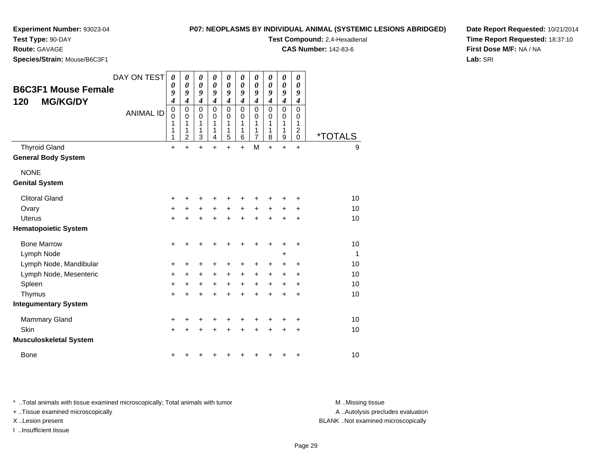**Test Type:** 90-DAY

**Route:** GAVAGE

**Species/Strain:** Mouse/B6C3F1

**P07: NEOPLASMS BY INDIVIDUAL ANIMAL (SYSTEMIC LESIONS ABRIDGED)**

**Test Compound:** 2,4-Hexadienal

**CAS Number:** 142-83-6

**Date Report Requested:** 10/21/2014**Time Report Requested:** 18:37:10**First Dose M/F:** NA / NA**Lab:** SRI

|                               | DAY ON TEST      | $\boldsymbol{\theta}$<br>0                                         | 0<br>0                                                            | 0<br>0                                                     | 0<br>0                                                                  | 0<br>$\boldsymbol{\theta}$                                     | 0<br>0                                              | 0<br>0                                                           | 0<br>$\boldsymbol{\theta}$                              | $\boldsymbol{\theta}$<br>$\boldsymbol{\theta}$                     | 0<br>0                                                                     |                       |
|-------------------------------|------------------|--------------------------------------------------------------------|-------------------------------------------------------------------|------------------------------------------------------------|-------------------------------------------------------------------------|----------------------------------------------------------------|-----------------------------------------------------|------------------------------------------------------------------|---------------------------------------------------------|--------------------------------------------------------------------|----------------------------------------------------------------------------|-----------------------|
| <b>B6C3F1 Mouse Female</b>    |                  | 9                                                                  | 9                                                                 | 9                                                          | 9                                                                       | 9                                                              | 9                                                   | 9                                                                | 9                                                       | 9                                                                  | 9                                                                          |                       |
| <b>MG/KG/DY</b><br>120        | <b>ANIMAL ID</b> | $\boldsymbol{4}$<br>$\boldsymbol{0}$<br>$\mathbf 0$<br>1<br>1<br>1 | $\overline{\boldsymbol{4}}$<br>0<br>0<br>1<br>1<br>$\overline{2}$ | $\boldsymbol{4}$<br>$\mathbf 0$<br>$\Omega$<br>1<br>1<br>3 | $\boldsymbol{4}$<br>$\mathbf 0$<br>$\Omega$<br>1<br>1<br>$\overline{4}$ | $\boldsymbol{4}$<br>$\pmb{0}$<br>0<br>1<br>1<br>$\overline{5}$ | $\boldsymbol{4}$<br>$\mathbf 0$<br>0<br>1<br>1<br>6 | $\boldsymbol{4}$<br>$\mathbf 0$<br>0<br>1<br>1<br>$\overline{7}$ | $\boldsymbol{4}$<br>$\Omega$<br>$\Omega$<br>1<br>1<br>8 | $\boldsymbol{4}$<br>$\mathbf 0$<br>0<br>1<br>1<br>$\boldsymbol{9}$ | $\boldsymbol{4}$<br>$\mathbf 0$<br>0<br>1<br>$\overline{c}$<br>$\mathbf 0$ | <i><b>*TOTALS</b></i> |
| <b>Thyroid Gland</b>          |                  | +                                                                  | $\ddot{}$                                                         | $\ddot{}$                                                  | $\ddot{}$                                                               | $\ddot{}$                                                      | $+$                                                 | M                                                                | $\ddot{}$                                               | $\ddot{}$                                                          | $\ddot{}$                                                                  | 9                     |
| <b>General Body System</b>    |                  |                                                                    |                                                                   |                                                            |                                                                         |                                                                |                                                     |                                                                  |                                                         |                                                                    |                                                                            |                       |
| <b>NONE</b>                   |                  |                                                                    |                                                                   |                                                            |                                                                         |                                                                |                                                     |                                                                  |                                                         |                                                                    |                                                                            |                       |
| <b>Genital System</b>         |                  |                                                                    |                                                                   |                                                            |                                                                         |                                                                |                                                     |                                                                  |                                                         |                                                                    |                                                                            |                       |
| <b>Clitoral Gland</b>         |                  | +                                                                  |                                                                   | +                                                          |                                                                         |                                                                |                                                     |                                                                  |                                                         |                                                                    |                                                                            | 10                    |
| Ovary                         |                  | $\ddot{}$                                                          | +                                                                 | +                                                          | $\ddot{}$                                                               | +                                                              | $\ddot{}$                                           | +                                                                | +                                                       | ٠                                                                  | ٠                                                                          | 10                    |
| <b>Uterus</b>                 |                  | $\ddot{}$                                                          |                                                                   | $\ddot{}$                                                  | $\ddot{}$                                                               | $\ddot{}$                                                      | ÷                                                   | $\ddot{}$                                                        | $\ddot{}$                                               | $\ddot{}$                                                          | $\ddot{}$                                                                  | 10                    |
| <b>Hematopoietic System</b>   |                  |                                                                    |                                                                   |                                                            |                                                                         |                                                                |                                                     |                                                                  |                                                         |                                                                    |                                                                            |                       |
| <b>Bone Marrow</b>            |                  | $\ddot{}$                                                          | $\ddot{}$                                                         | +                                                          | +                                                                       | +                                                              | +                                                   | +                                                                | $\ddot{}$                                               | ٠                                                                  | $\ddot{}$                                                                  | 10                    |
| Lymph Node                    |                  |                                                                    |                                                                   |                                                            |                                                                         |                                                                |                                                     |                                                                  |                                                         | $\ddot{}$                                                          |                                                                            | 1                     |
| Lymph Node, Mandibular        |                  | $\ddot{}$                                                          | +                                                                 | +                                                          | +                                                                       | +                                                              | $\pm$                                               | +                                                                | +                                                       |                                                                    | +                                                                          | 10                    |
| Lymph Node, Mesenteric        |                  | $\ddot{}$                                                          | +                                                                 | $\ddot{}$                                                  | $\ddot{}$                                                               | $\ddot{}$                                                      | $\ddot{}$                                           | $\ddot{}$                                                        | $\ddot{}$                                               | +                                                                  | $\ddot{}$                                                                  | 10                    |
| Spleen                        |                  | $\ddot{}$                                                          | $\ddot{}$                                                         | $\ddot{}$                                                  | $+$                                                                     | $+$                                                            | $+$                                                 | $+$                                                              | $+$                                                     | $\ddot{}$                                                          | $\ddot{}$                                                                  | 10                    |
| Thymus                        |                  | $\ddot{}$                                                          | $\ddot{}$                                                         | $\ddot{}$                                                  | $\ddot{}$                                                               | $\ddot{}$                                                      | ÷                                                   | $\ddot{}$                                                        | $\ddot{}$                                               | $\ddot{}$                                                          | $\ddot{}$                                                                  | 10                    |
| <b>Integumentary System</b>   |                  |                                                                    |                                                                   |                                                            |                                                                         |                                                                |                                                     |                                                                  |                                                         |                                                                    |                                                                            |                       |
| <b>Mammary Gland</b>          |                  | $\ddot{}$                                                          | +                                                                 | +                                                          | +                                                                       | +                                                              |                                                     |                                                                  |                                                         |                                                                    | +                                                                          | 10                    |
| Skin                          |                  | +                                                                  | $\ddot{}$                                                         | $\ddot{}$                                                  | $\ddot{}$                                                               | +                                                              | $\ddot{}$                                           | $\ddot{}$                                                        | $\ddot{}$                                               | $\ddot{}$                                                          | $\ddot{}$                                                                  | 10                    |
| <b>Musculoskeletal System</b> |                  |                                                                    |                                                                   |                                                            |                                                                         |                                                                |                                                     |                                                                  |                                                         |                                                                    |                                                                            |                       |
| <b>Bone</b>                   |                  |                                                                    |                                                                   |                                                            |                                                                         |                                                                |                                                     |                                                                  |                                                         |                                                                    |                                                                            | 10                    |

\* ..Total animals with tissue examined microscopically; Total animals with tumor **M** . Missing tissue M ..Missing tissue

+ ..Tissue examined microscopically

I ..Insufficient tissue